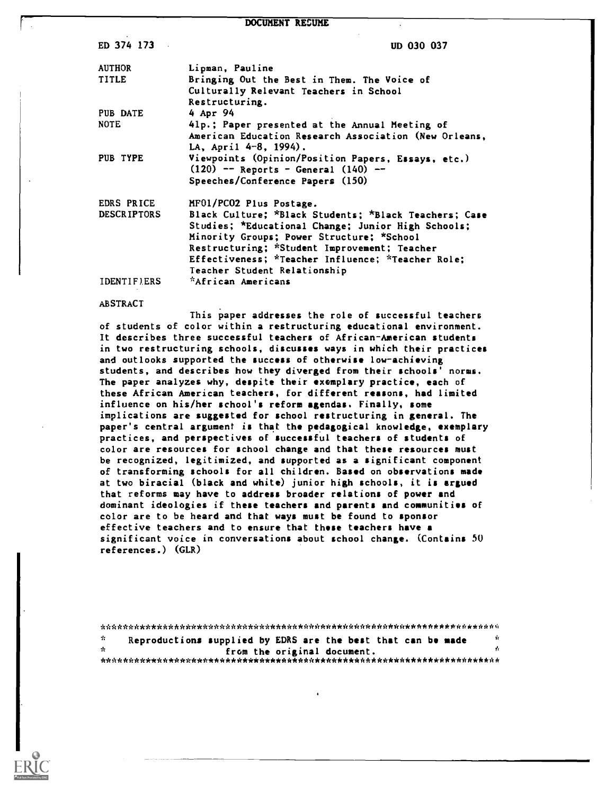#### DOCUMENT RESUME

ED 374 173 UD 030 037

| <b>AUTHOR</b>      | Lipman, Pauline                                       |
|--------------------|-------------------------------------------------------|
| TITLE              | Bringing Out the Best in Them. The Voice of           |
|                    | Culturally Relevant Teachers in School                |
|                    | Restructuring.                                        |
| PUB DATE           | 4 Apr 94                                              |
| <b>NOTE</b>        | 41p.; Paper presented at the Annual Meeting of        |
|                    | American Education Research Association (New Orleans, |
|                    | LA, April 4-8, 1994).                                 |
| PUB TYPE           | Viewpoints (Opinion/Position Papers, Essays, etc.)    |
|                    | $(120)$ -- Reports - General $(140)$ --               |
|                    | Speeches/Conference Papers (150)                      |
| EDRS PRICE         | MF01/PC02 Plus Postage.                               |
| <b>DESCRIPTORS</b> | Black Culture; *Black Students; *Black Teachers; Case |
|                    | Studies; *Educational Change; Junior High Schools;    |
|                    | Minority Groups; Power Structure; *School             |
|                    | Restructuring; *Student Improvement; Teacher          |
|                    | Effectiveness; *Teacher Influence; *Teacher Role;     |
|                    | Teacher Student Relationship                          |
| <b>IDENTIFIERS</b> | *African Americans                                    |

#### ABSTRACT

This paper addresses the role of successful teachers of students of color within a restructuring educational environment. It describes three successful teachers of African-American students in two restructuring schools, discusses ways in which their practices and outlooks supported the success of otherwise low-achieving students, and describes how they diverged from their schools' norms. The paper analyzes why, despite their exemplary practice, each of these African American teachers, for different reasons, had limited influence on his/her school's reform agendas. Finally, some implications are suggested for school restructuring in general. The paper's central argument is that the pedagogical knowledge, exemplary practices, and perspectives of successful teachers of students of color are resources for school change and that these resources must be recognized, legitimized, and supported as a significant component of transforming schools for all children. Based on observations made at two biracial (black and white) junior high schools, it is argued that reforms may have to address broader relations of power and dominant ideologies if these teachers and parents and communities of color are to be heard and that ways must be found to sponsor effective teachers and to ensure that these teachers have a significant voice in conversations about school change. (Contains 5U references.) (GLR)

| - 11 | Reproductions supplied by EDRS are the best that can be made |                             |  | - Vr |  |  |  |
|------|--------------------------------------------------------------|-----------------------------|--|------|--|--|--|
| - sk |                                                              | from the original document. |  |      |  |  |  |
|      |                                                              |                             |  |      |  |  |  |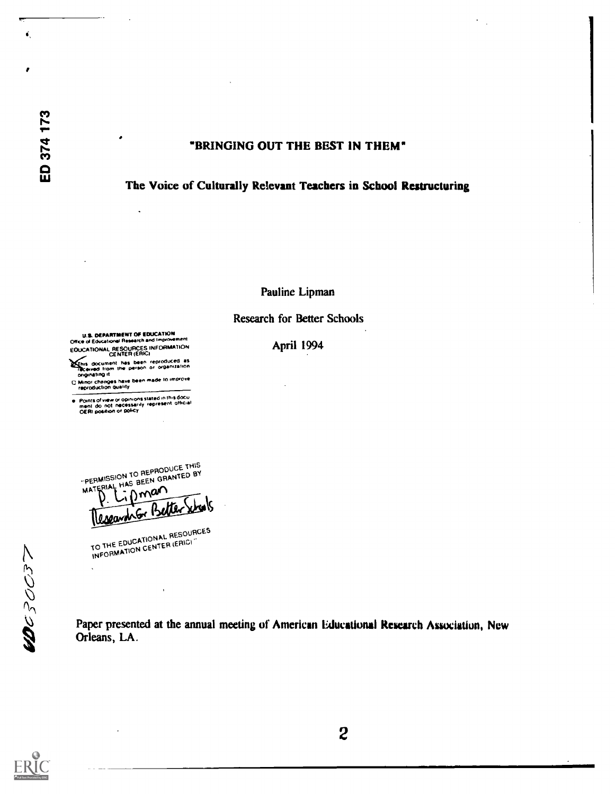ť.

A

# "BRINGING OUT THE BEST IN THEM"



Pauline Lipman

# Research for Better Schools

U.S. DEPARTMENT Of EDUCATION Office d Eckcahonso Research and ooproweinent

a

- EDUCATIONAL RESOURCES INFORMATION<br>CENTER (ERIC)
- 1/2/11s document has been reproducts as<br>- The Consection the person or organization<br>- Divinor changes have been made 10 improve<br>- Minor changes have been made 10 improve<br>- reproduction quality
- 
- Poirot' 0/ Iowa or MOoll stated in In went' Oda, men! do not nCSSoly repr othoal OEM poseson or 004cy

April 1994

"PEHMISSING BEEN ON" PERMISSION TO REPHODULED BY<br>MATERIAL HAS BEEN GRANTED BY THIS  $F_{\rm F}^{\rm RIA}$ 

. Lipman

TO THE EDUCATIONAL RESOURCES INFORMATION CENTER (ERIC)

 $\mathbf{r}$ 

Paper presented at the annual meeting of American Educational Research Association, New Orleans, LA.

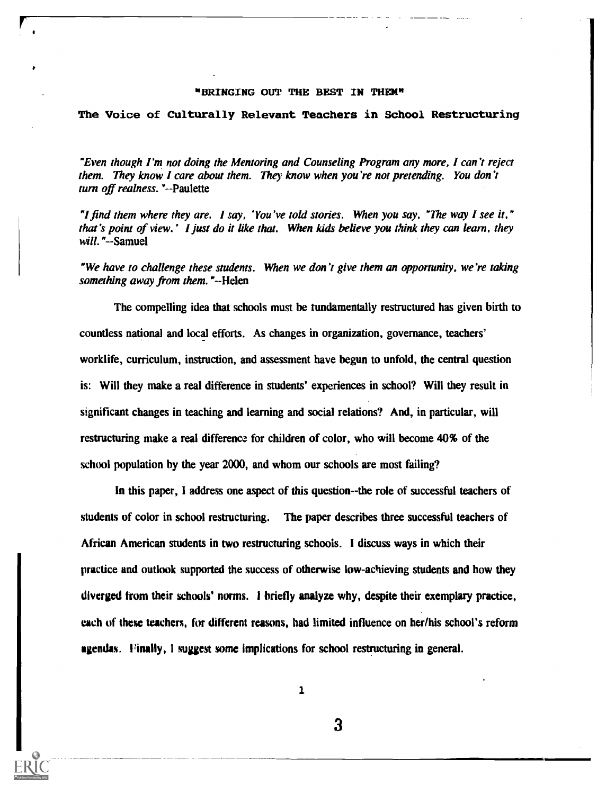## "BRINGING OUT THE BEST IN THEN"

#### The Voice of Culturally Relevant Teachers in School Restructuring

"Even though I'm not doing the Mentoring and Counseling Program any more, I can't reject them. They know I care about them. They know when you're not pretending. You don't turn off realness. '--Paulette

"I find them where they are. I say, 'You've told stories. When you say, The way I see it," that's point of view.' I just do it like that. When kids believe you think they can learn, they will. "--Samuel

"We have to challenge these students. When we don't give them an opportunity, we're taking something away from them."--Helen

The compelling idea that schools must be fundamentally restructured has given birth to countless national and local efforts. As changes in organization, governance, teachers' worklife, curriculum, instruction, and assessment have begun to unfold, the central question is: Will they make a real difference in students' experiences in school? Will they result in significant changes in teaching and learning and social relations? And, in particular, will restructuring make a real differencz for children of color, who will become 40% of the school population by the year 2000, and whom our schools are most failing?

In this paper, I address one aspect of this question--the role of successful teachers of students of color in school restructuring. The paper describes three successful teachers of African American students in two restructuring schools. I discuss ways in which their practice and outlook supported the success of otherwise low-achieving students and how they diverged from their schools' norms. I briefly analyze why, despite their exemplary practice, each of these teachers, for different reasons, had limited influence on her/his school's reform agendas. Finally, I suggest some implications for school restructuring in general.

1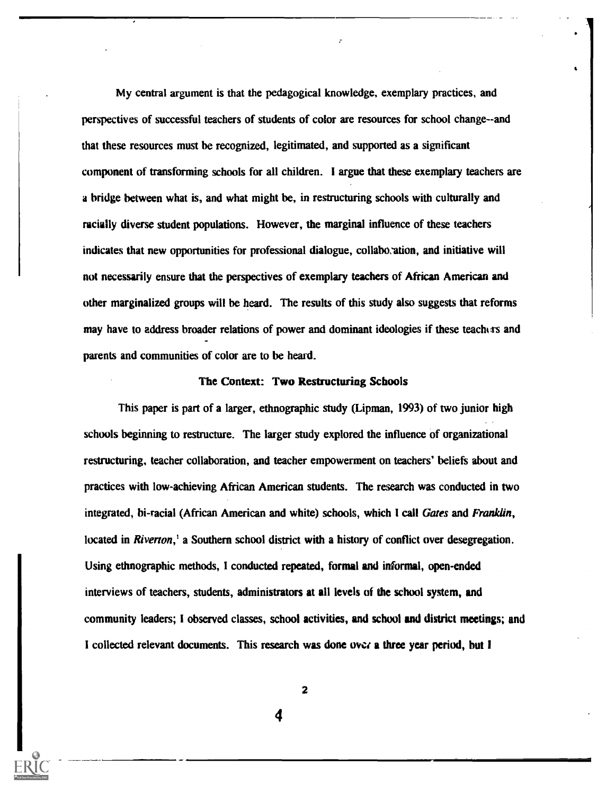My central argument is that the pedagogical knowledge, exemplary practices, and perspectives of successful teachers of students of color are resources for school change--and that these resources must be recognized, legitimated, and supported as a significant component of transforming schools for all children. I argue that these exemplary teachers are a bridge between what is, and what might be, in restructuring schools with culturally and racially diverse student populations. However, the marginal influence of these teachers indicates that new opportunities for professional dialogue, collaboration, and initiative will not necessarily ensure that the perspectives of exemplary teachers of African American and other marginalized groups will be heard. The results of this study also suggests that reforms may have to address broader relations of power and dominant ideologies if these teachas and parents and communities of color are to be heard.

# The Context: Two Restructuring Schools

This paper is part of a larger, ethnographic study (Lipman, 1993) of two junior high schools beginning to restructure. The larger study explored the influence of organizational restructuring, teacher collaboration, and teacher empowerment on teachers' beliefs about and practices with low-achieving African American students. The research was conducted in two integrated, bi-racial (African American and white) schools, which I call Gates and Franklin, located in Riverton,<sup>1</sup> a Southern school district with a history of conflict over desegregation. Using ethnographic methods, I conducted repeated, formal and informal, open-ended interviews of teachers, students, administrators at all levels of the school system, and community leaders; I observed classes, school activities, and school and district meetings; and I collected relevant documents. This research was done over a three year period, but I

2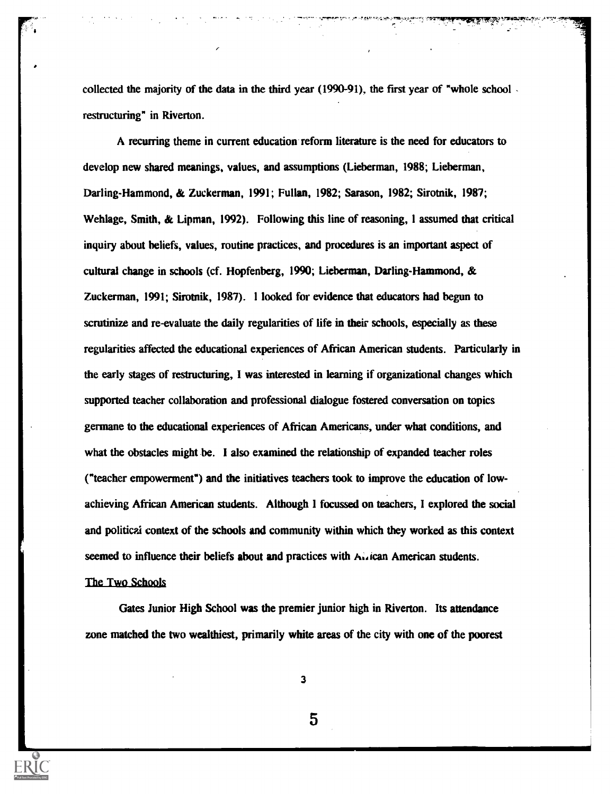collected the majority of the data in the third year (1990-91), the first year of "whole school restructuring" in Riverton.

A recurring theme in current education reform literature is the need for educators to develop new shared meanings, values, and assumptions (Lieberman, 1988; Lieberman, Darling-Hammond, & Zuckerman, 1991; Fullan, 1982; Sarason, 1982; Sirotnik, 1987; Wehlage, Smith, & Lipman, 1992). Following this line of reasoning, 1 assumed that critical inquiry about beliefs, values, routine practices, and procedures is an important aspect of cultural change in schools (cf. Hopfenberg, 1990; Lieberman, Darling-Hammond, & Zuckerman, 1991; Sirotnik, 1987). 1 looked for evidence that educators had begun to scrutinize and re-evaluate the daily regularities of life in their schools, especially as these regularities affected the educational experiences of African American students. Particularly in the early stages of restructuring, I was interested in learning if organizational changes which supported teacher collaboration and professional dialogue fostered conversation on topics germane to the educational experiences of African Americans, under what conditions, and what the obstacles might be. I also examined the relationship of expanded teacher roles ("teacher empowerment") and the initiatives teachers took to improve the education of lowachieving African American students. Although 1 focussed on teachers, I explored the social and political context of the schools and community within which they worked as this context seemed to influence their beliefs about and practices with A..ican American students.

# The Two Schools

Gates Junior High School was the premier junior high in Riverton. Its attendance zone matched the two wealthiest, primarily white areas of the city with one of the poorest

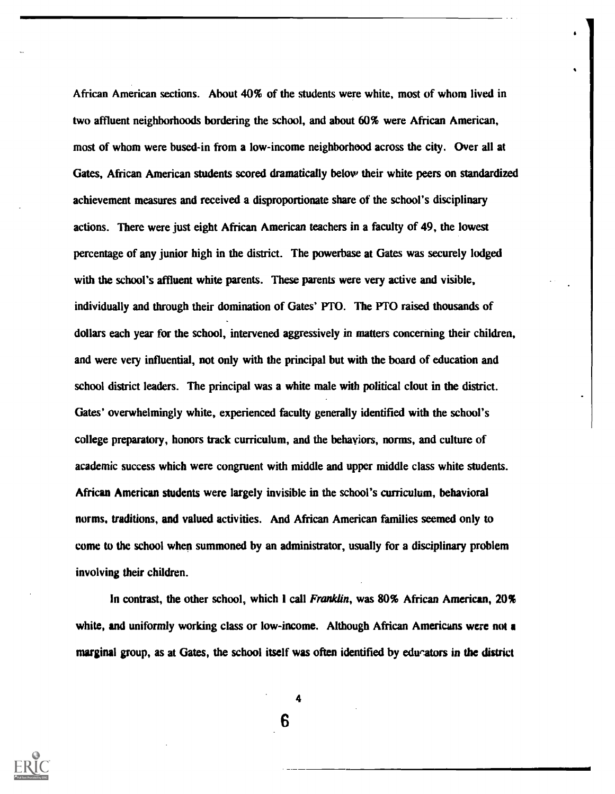African American sections. About 40% of the students were white, most of whom lived in two affluent neighborhoods bordering the school, and about 60% were African American, most of whom were bused-in from a low-income neighborhood across the city. Over all at Gates, African American students scored dramatically below their white peers on standardized achievement measures and received a disproportionate share of the school's disciplinary actions. There were just eight African American teachers in a faculty of 49, the lowest percentage of any junior high in the district. The powerbase at Gates was securely lodged with the school's affluent white parents. These parents were very active and visible, individually and through their domination of Gates' PTO. The PTO raised thousands of dollars each year for the school, intervened aggressively in matters concerning their children, and were very influential, not only with the principal but with the board of education and school district leaders. The principal was a white male with political clout in the district. Gates' overwhelmingly white, experienced faculty generally identified with the school's college preparatory, honors track curriculum, and the behaviors, norms, and culture of academic success which were congruent with middle and upper middle class white students. African American students were largely invisible in the school's curriculum, behavioral norms, traditions, and valued activities. And African American families seemed only to come to the school when summoned by an administrator, usually for a disciplinary problem involving their children.

In contrast, the other school, which I call Franklin, was 80% African American, 20% white, and uniformly working class or low-income. Although African Americans were not a marginal group, as at Gates, the school itself was often identified by educators in the district

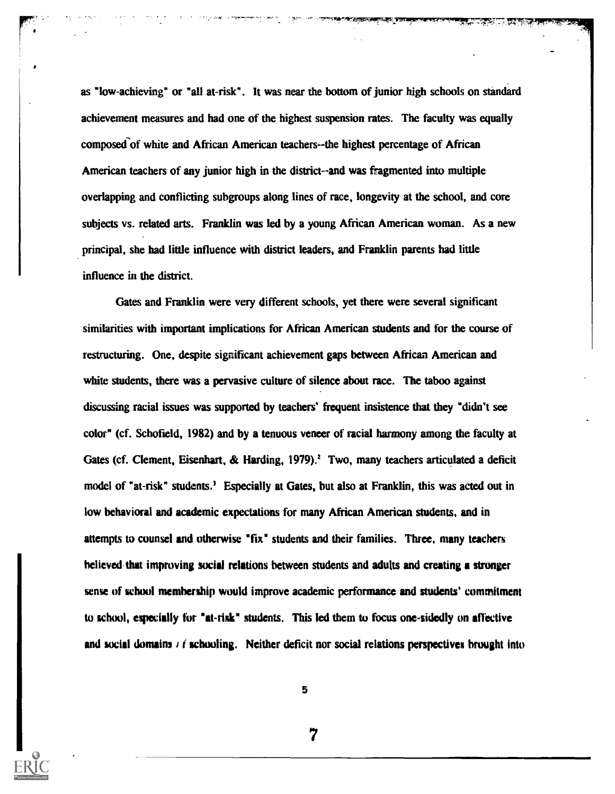as "low-achieving" or "all at-risk". It was near the bottom of junior high schools on standard achievement measures and had one of the highest suspension rates. The faculty was equally composed of white and African American teachers--the highest percentage of African American teachers of any junior high in the district--and was fragmented into multiple overlapping and conflicting subgroups along lines of race, longevity at the school, and core subjects vs. related arts. Franklin was led by a young African American woman. As a new principal, she had little influence with district leaders, and Franklin parents had little influence in the district.

Gates and Franklin were very different schools, yet there were several significant similarities with important implications for African American students and for the course of restructuring. One, despite significant achievement gaps between African American and white students, there was a pervasive culture of silence about race. The taboo against discussing racial issues was supported by teachers' frequent insistence that they "didn't see color" (cf. Schofield, 1982) and by a tenuous veneer of racial harmony among the faculty at Gates (cf. Clement, Eisenhart, & Harding, 1979).<sup>2</sup> Two, many teachers articulated a deficit model of "at-risk" students.' Especially at Gates, but also at Franklin, this was acted out in low behavioral and academic expectations for many African American students, and in attempts to counsel and otherwise "fix" students and their families. Three, many teachers believed that improving social relations between students and adults and creating a stronger sense of school membership would improve academic performance and students' commitment to school, especially fur "at-risk" students. This led them to focus one-sidedly on affective and social domains  $\ell$  f schooling. Neither deficit nor social relations perspectives brought into

5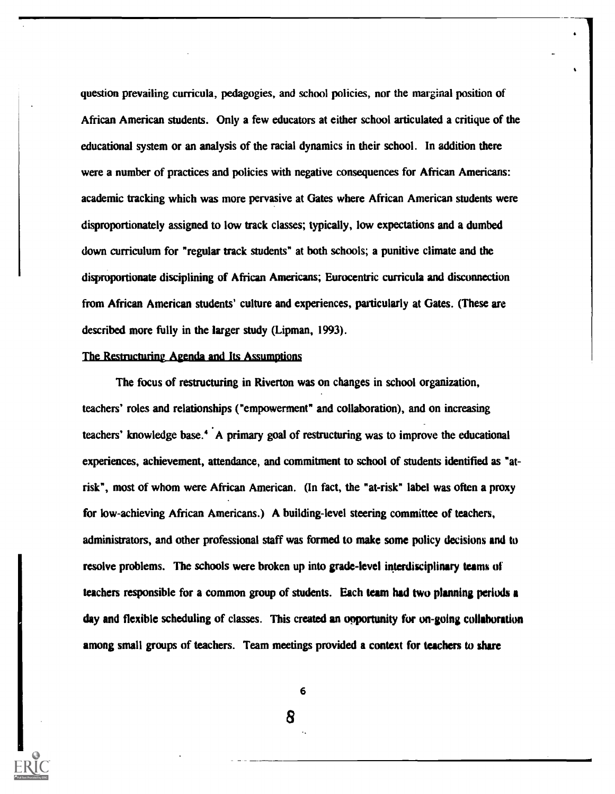question prevailing curricula, pedagogies, and school policies, nor the marginal position of African American students. Only a few educators at either school articulated a critique of the educational system or an analysis of the racial dynamics in their school. In addition there were a number of practices and policies with negative consequences for African Americans: academic tracking which was more pervasive at Gates where African American students were disproportionately assigned to low track classes; typically, low expectations and a dumbed down curriculum for "regular track students" at both schools; a punitive climate and the disproportionate disciplining of African Americans; Eurocentric curricula and disconnection from African American students' culture and experiences, particularly at Gates. (These are described more fully in the larger study (Lipman, 1993).

#### The Restructuring Agenda and Its Assumptions

The focus of restructuring in Riverton was on changes in school organization, teachers' roles and relationships ("empowerment" and collaboration), and on increasing teachers' knowledge base.' A primary goal of restructuring was to improve the educational experiences, achievement, attendance, and commitment to school of students identified as "atrisk", most of whom were African American. (In fact, the "at-risk" label was often a proxy for low-achieving African Americans.) A building-level steering committee of teachers, administrators, and other professional staff was formed to make some policy decisions and to resolve problems. The schools were broken up into grade-level interdisciplinary teams of teachers responsible for a common group of students. Each team had two planning periods a day and flexible scheduling of classes. This created an opportunity for on-going collaboration among small groups of teachers. Team meetings provided a context for teachers to share

6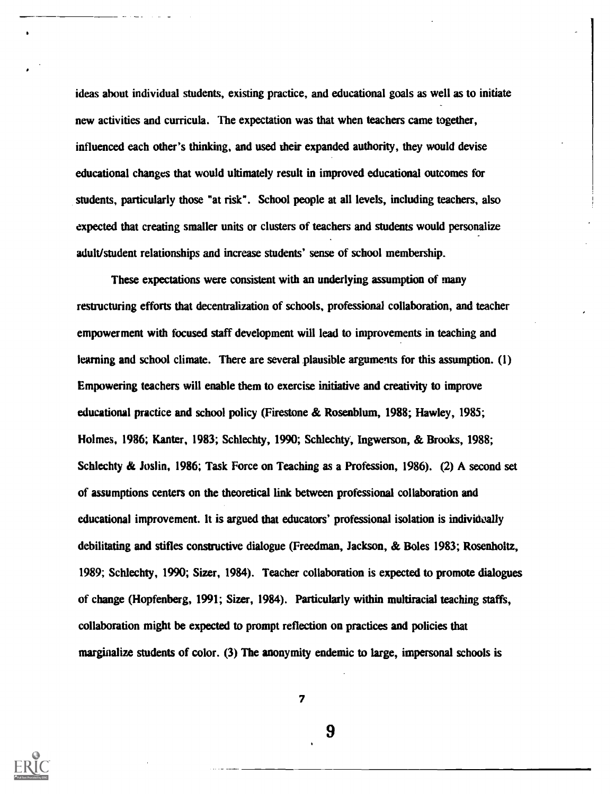ideas about individual students, existing practice, and educational goals as well as to initiate new activities and curricula. The expectation was that when teachers came together, influenced each other's thinking, and used their expanded authority, they would devise educational changes that would ultimately result in improved educational outcomes for students, particularly those "at risk". School people at all levels, including teachers, also expected that creating smaller units or clusters of teachers and students would personalize adult/student relationships and increase students' sense of school membership.

These expectations were consistent with an underlying assumption of many restructuring efforts that decentralization of schools, professional collaboration, and teacher empowerment with focused staff development will lead to improvements in teaching and learning and school climate. There are several plausible arguments for this assumption. (1) Empowering teachers will enable them to exercise initiative and creativity to improve educational practice and school policy (Firestone & Rosenblum, 1988; Hawley, 1985; Holmes, 1986; Kanter, 1983; Schlechty, 1990; Schlechty, Ingwerson, & Brooks, 1988; Schlechty & Joslin, 1986; Task Force on Teaching as a Profession, 1986). (2) A second set of assumptions centers on the theoretical link between professional collaboration and educational improvement. It is argued that educators' professional isolation is individually debilitating and stifles constructive dialogue (Freedman, Jackson, & Boles 1983; Rosenholtz, 1989; Schlechty, 1990; Sizer, 1984). Teacher collaboration is expected to promote dialogues of change (Hopfenberg, 1991; Sizer, 1984). Particularly within multiracial teaching staffs, collaboration might be expected to prompt reflection on practices and policies that marginalize students of color. (3) The anonymity endemic to large, impersonal schools is



7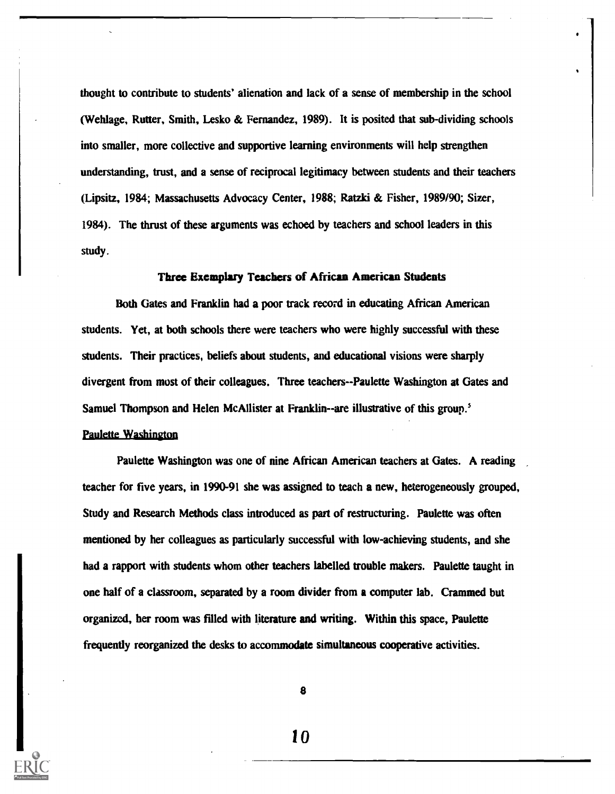thought to contribute to students' alienation and lack of a sense of membership in the school (Wehlage, Rutter, Smith, Lesko & Fernandez, 1989). It is posited that sub-dividing schools into smaller, more collective and supportive learning environments will help strengthen understanding, trust, and a sense of reciprocal legitimacy between students and their teachers (Lipsitz, 1984; Massachusetts Advocacy Center, 1988; Ratzki & Fisher, 1989/90; Sizer, 1984). The thrust of these arguments was echoed by teachers and school leaders in this study.

## Three Exemplary Teachers of African American Students

Both Gates and Franklin had a poor track record in educating African American students. Yet, at both schools there were teachers who were highly successful with these students. Their practices, beliefs about students, and educational visions were sharply divergent from most of their colleagues. Three teachers--Paulette Washington at Gates and Samuel Thompson and Helen McAllister at Franklin--are illustrative of this group.<sup>5</sup> **Paulette Washington** 

Paulette Washington was one of nine African American teachers at Gates. A reading teacher for five years, in 1990-91 she was assigned to teach a new, heterogeneously grouped, Study and Research Methods class introduced as part of restructuring. Paulette was often mentioned by her colleagues as particularly successful with low-achieving students, and she had a rapport with students whom other teachers labelled trouble makers. Paulette taught in one half of a classroom, separated by a room divider from a computer lab. Crammed but organized, her room was filled with literature and writing. Within this space, Paulette frequently reorganized the desks to accommodate simultaneous cooperative activities.

8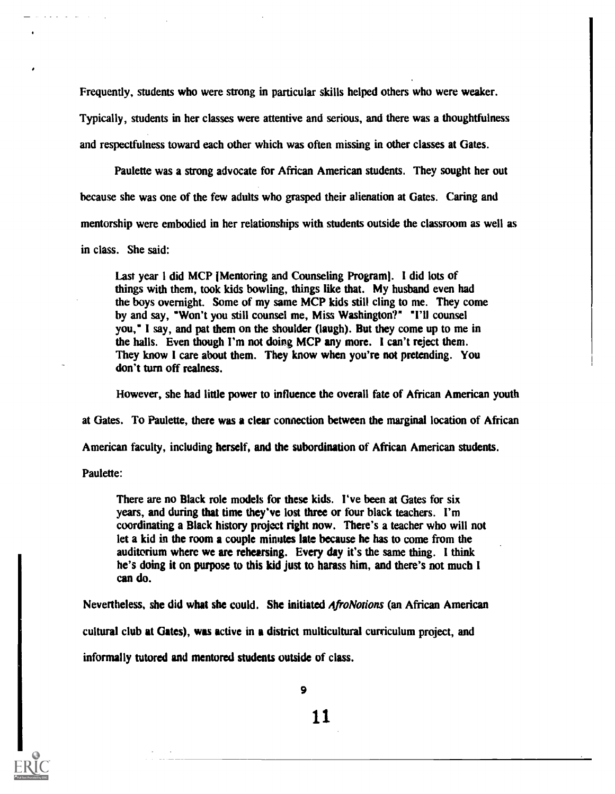Frequently, students who were strong in particular skills helped others who were weaker. Typically, students in her classes were attentive and serious, and there was a thoughtfulness and respectfulness toward each other which was often missing in other classes at Gates.

Paulette was a strong advocate for African American students. They sought her out because she was one of the few adults who grasped their alienation at Gates. Caring and mentorship were embodied in her relationships with students outside the classroom as well as in class. She said:

Last year I did MCP IMentoring and Counseling Program]. I did lots of things with them, took kids bowling, things like that. My husband even had the boys overnight. Some of my same MCP kids still cling to me. They come by and say, "Won't you still counsel me, Miss Washington?" "I'll counsel you," I say, and pat them on the shoulder (laugh). But they come up to me in the halls. Even though I'm not doing MCP any more. I can't reject them. They know I care about them. They know when you're not pretending. You don't turn off realness.

However, she had little power to influence the overall fate of African American youth

at Gates. To Paulette, there was a clear connection between the marginal location of African

American faculty, including herself, and the subordination of African American students.

Paulette:

There are no Black role models for these kids. I've been at Gates for six years, and during that time they've lost three or four black teachers. I'm coordinating a Black history project right now. There's a teacher who will not let a kid in the room a couple minutes late because he has to come from the auditorium where we are rehearsing. Every day it's the same thing. I think he's doing it on purpose to this kid just to harass him, and there's not much I can do.

Nevertheless, she did what she could. She initiated *AfroNotions* (an African American cultural club at Gates), was active in a district multicultural curriculum project, and informally tutored and mentored students outside of class.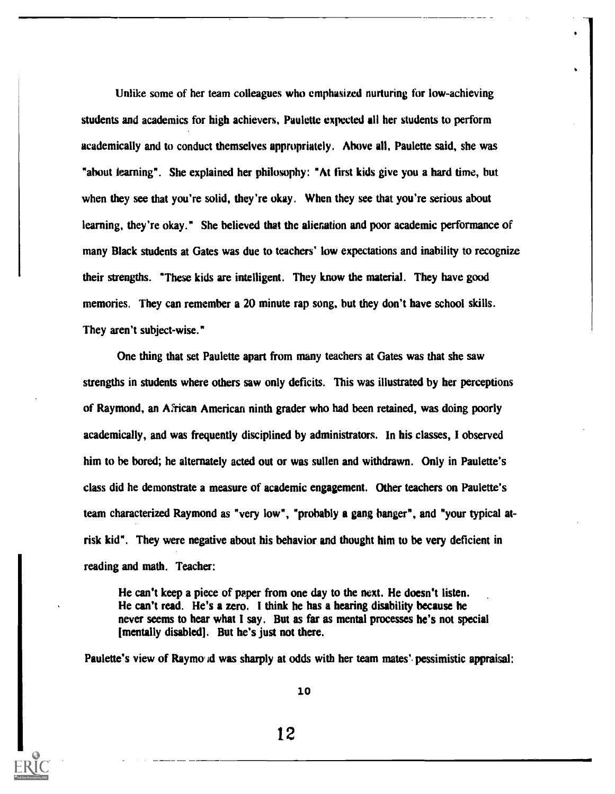Unlike some of her team colleagues who emphasized nurturing for low-achieving students and academics for high achievers, Paulette expected all her students to perform academically and to conduct themselves appropriately. Above all, Paulette said, she was "about learning". She explained her philosophy: "At first kids give you a hard time, but when they see that you're solid, they're okay. When they see that you're serious about learning, they're okay." She believed that the alienation and poor academic performance of many Black students at Gates was due to teachers' low expectations and inability to recognize their strengths. "These kids are intelligent. They know the material. They have good memories. They can remember a 20 minute rap song, but they don't have school skills. They aren't subject-wise."

One thing that set Paulette apart from many teachers at Gates was that she saw strengths in students where others saw only deficits. This was illustrated by her perceptions of Raymond, an African American ninth grader who had been retained, was doing poorly academically, and was frequently disciplined by administrators. In his classes, I observed him to be bored; he alternately acted out or was sullen and withdrawn. Only in Paulette's class did he demonstrate a measure of academic engagement. Other teachers on Paulette's team characterized Raymond as "very low", "probably a gang banger", and "your typical atrisk kid". They were negative about his behavior and thought him to be very deficient in reading and math. Teacher:

He can't keep a piece of paper from one day to the next. He doesn't listen. He can't read. He's a zero. I think he has a hearing disability because he never seems to hear what I say. But as far as mental processes he's not special [mentally disabled]. But he's just not there.

Paulette's view of Raymo d was sharply at odds with her team mates' pessimistic appraisal:

10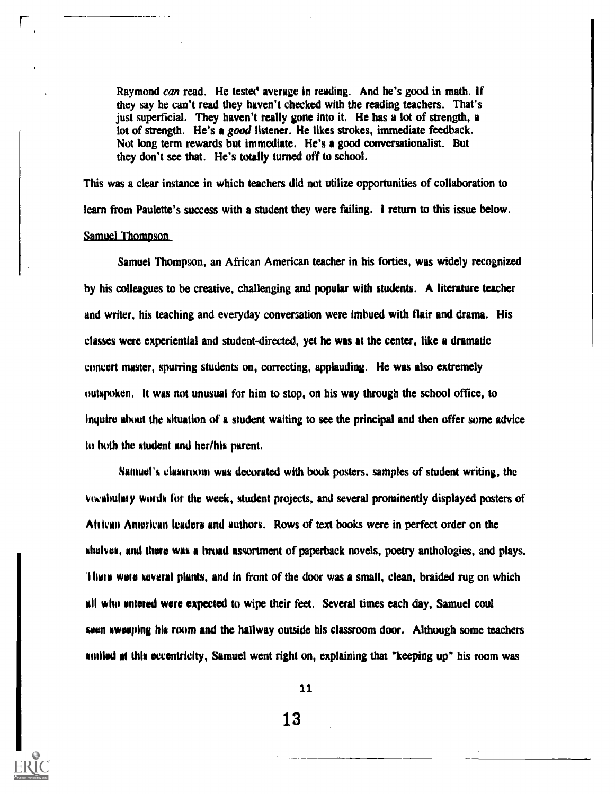Raymond can read. He tested average in reading. And he's good in math. If they say he can't read they haven't checked with the reading teachers. That's just superficial. They haven't really gone into it. He has a lot of strength, a lot of strength. He's a good listener. He likes strokes, immediate feedback. Not long term rewards but immediate. He's a good conversationalist. But they don't see that. He's totally turned off to school.

This was a clear instance in which teachers did not utilize opportunities of collaboration to learn from Paulette's success with a student they were failing. I return to this issue below. Samuel Thompson

Samuel Thompson, an African American teacher in his forties, was widely recognized by his colleagues to be creative, challenging and popular with students. A literature teacher and writer, his teaching and everyday conversation were imbued with flair and drama. His classes were experiential and student-directed, yet he was at the center, like a dramatic concert master, spurring students on, correcting, applauding. He was also extremely outspoken, It was not unusual for him to stop, on his way through the school office, to inquire about the situation of a student waiting to see the principal and then offer some advice to both the student and her/his parent,

Samuel's classroom was decorated with book posters, samples of student writing, the vivalmlitly words for the week, student projects, and several prominently displayed posters of Altican American leaders and authors. Rows of text books were in perfect order on the shelves, and there was a hroad assortment of paperback novels, poetry anthologies, and plays. '11111111 were several plants, and in front of the door was a small, clean, braided rug on which all who entered were expected to wipe their feet. Several times each day, Samuel cool seen swooping his room and the hallway outside his classroom door. Although some teachers smiled as this eccentricity, Samuel went right on, explaining that "keeping up" his room was

11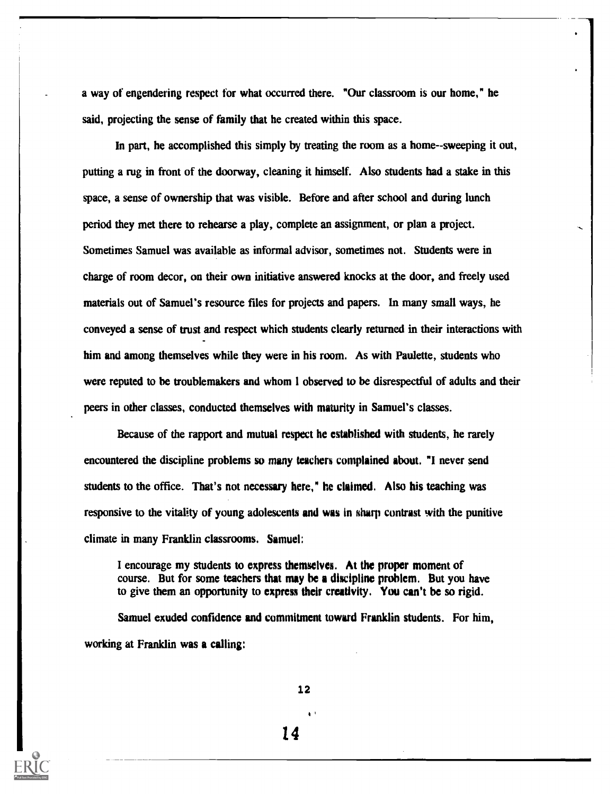a way of engendering respect for what occurred there. "Our classroom is our home," he said, projecting the sense of family that he created within this space.

In part, he accomplished this simply by treating the room as a home--sweeping it out, putting a rug in front of the doorway, cleaning it himself. Also students had a stake in this space, a sense of ownership that was visible. Before and after school and during lunch period they met there to rehearse a play, complete an assignment, or plan a project. Sometimes Samuel was available as informal advisor, sometimes not. Students were in charge of room decor, on their own initiative answered knocks at the door, and freely used materials out of Samuel's resource files for projects and papers. In many small ways, he conveyed a sense of trust and respect which students clearly returned in their interactions with him and among themselves while they were in his room. As with Paulette, students who were reputed to be troublemakers and whom I observed to be disrespectful of adults and their peers in other classes, conducted themselves with maturity in Samuel's classes.

Because of the rapport and mutual respect he established with students, he rarely encountered the discipline problems so many teachers complained about. "I never send students to the office. That's not necessary here," he claimed. Also his teaching was responsive to the vitality of young adolescents and was in sharp contrast with the punitive climate in many Franklin classrooms. Samuel:

I encourage my students to express themselves. At the proper moment of course. But for some teachers that may be a discipline problem. But you have to give them an opportunity to express their creativity. You can't be so rigid.

Samuel exuded confidence and commitment toward Franklin students. For him, working at Franklin was a calling:

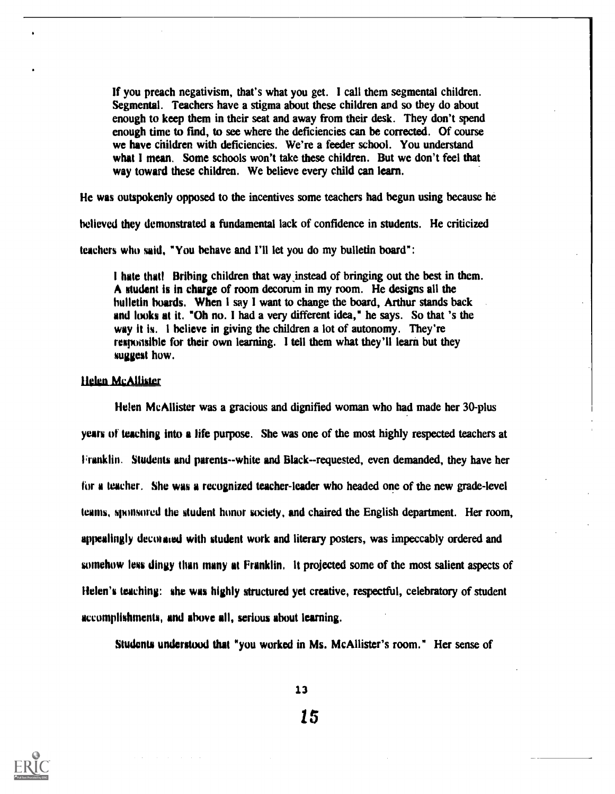If you preach negativism, that's what you get. I call them segmental children. Segmental. Teachers have a stigma about these children and so they do about enough to keep them in their seat and away from their desk. They don't spend enough time to find, to see where the deficiencies can be corrected. Of course we have children with deficiencies. We're a feeder school. You understand what I mean. Some schools won't take these children. But we don't feel that way toward these children. We believe every child can learn.

He was outspokenly opposed to the incentives some teachers had begun using because he

believed they demonstrated a fundamental lack of confidence in students. He criticized

teachers who said, "You behave and I'll let you do my bulletin board":

I hate that! Bribing children that way instead of bringing out the best in them. A student is in charge of room decorum in my room. He designs all the bulletin hoards. When I say I want to change the board, Arthur stands back and looks at it. "Oh no. I had a very different idea," he says. So that 's the way it is. 1 believe in giving the children a lot of autonomy. They're responsible for their own learning. I tell them what they'll learn but they suggest how.

# Helen McAllister

Helen McAllister was a gracious and dignified woman who had made her 30-plus years of teaching into a life purpose. She was one of the most highly respected teachers at Franklin. Students and parents--white and Black--requested, even demanded, they have her for a teacher. She was a recognized teacher-leader who headed one of the new grade-level teams, sponsored the student honor society, and chaired the English department. Her room, appealingly decorated with student work and literary posters, was impeccably ordered and somehow less dingy than many at Franklin, It projected some of the most salient aspects of Helen's teaching: she was highly structured yet creative, respectful, celebratory of student accomplishments, and above all, serious about learning.

Students understood that "you worked in Ms. McAllister's room." Her sense of

13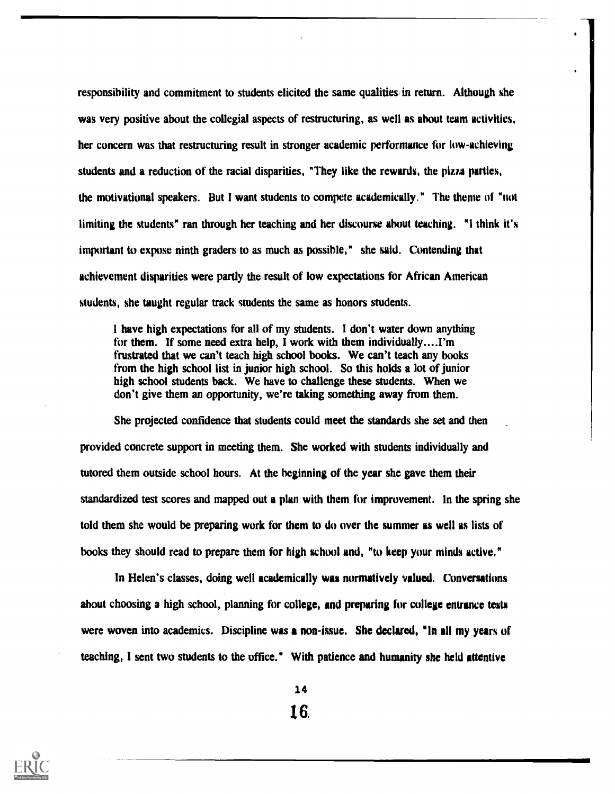responsibility and commitment to students elicited the same qualities in return. Although she was very positive about the collegial aspects of restructuring, as well as about team activities, her concern was that restructuring result in stronger academic performance for low-achieving students and a reduction of the racial disparities, "They like the rewards, the pizza parties, the motivational speakers. But I want students to compete academically." The theme of "not limiting the students" ran through her teaching and her discourse about teaching. "I think it's important to expose ninth graders to as much as possible," she said. Contending that achievement disparities were partly the result of low expectations for African American students, she taught regular track students the same as honors students.

I have high expectations for all of my students. I don't water down anything for them. If some need extra help, I work with them individually....I'm frustrated that we can't teach high school books. We can't teach any books from the high school list in junior high school. So this holds a lot of junior high school students back. We have to challenge these students. When we don't give them an opportunity, we're taking something away from them.

She projected confidence that students could meet the standards she set and then provided concrete support in meeting them. She worked with students individually and tutored them outside school hours. At the beginning of the year she gave them their standardized test scores and mapped out a plan with them for improvement. In the spring she told them she would be preparing work for them to do over the summer as well as lists of books they should read to prepare them for high school and, "to keep your minds active."

In Helen's classes, doing well academically was normatively valued. Conversations about choosing a high school, planning for college, and preparing for college entrance tests were woven into academics. Discipline was a non-issue. She declared, "In all my years of teaching, I sent two students to the office." With patience and humanity she held attentive



1416.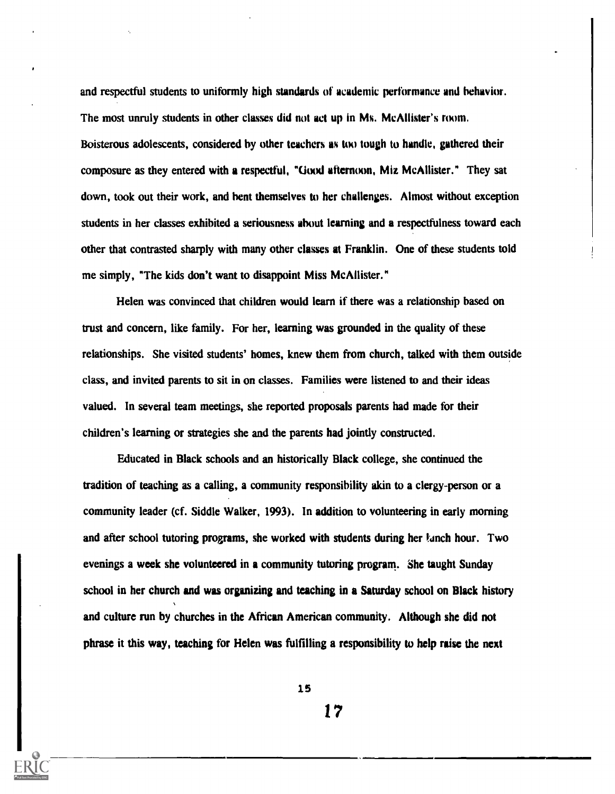and respectful students to uniformly high standards of academic performance and behavior. The most unruly students in other classes did not act up in Ms. McAllister's room. Boisterous adolescents, considered by other teachers as too tough to handle, gathered their composure as they entered with a respectful, "Good afternoon, Miz McAllister." They sat down, took out their work, and bent themselves to her challenges. Almost without exception students in her classes exhibited a seriousness about learning and a respectfulness toward each other that contrasted sharply with many other classes at Franklin. One of these students told me simply, "The kids don't want to disappoint Miss McAllister."

Helen was convinced that children would learn if there was a relationship based on trust and concern, like family. For her, learning was grounded in the quality of these relationships. She visited students' homes, knew them from church, talked with them outside class, and invited parents to sit in on classes. Families were listened to and their ideas valued. In several team meetings, she reported proposals parents had made for their children's learning or strategies she and the parents had jointly constructed.

Educated in Black schools and an historically Black college, she continued the tradition of teaching as a calling, a community responsibility akin to a clergy-person or a community leader (cf. Siddle Walker, 1993). In addition to volunteering in early morning and after school tutoring programs, she worked with students during her lanch hour. Two evenings a week she volunteered in a community tutoring program. She taught Sunday school in her church and was organizing and teaching in a Saturday school on Black history and culture run by churches in the African American community. Although she did not phrase it this way, teaching for Helen was fulfilling a responsibility to help raise the next

15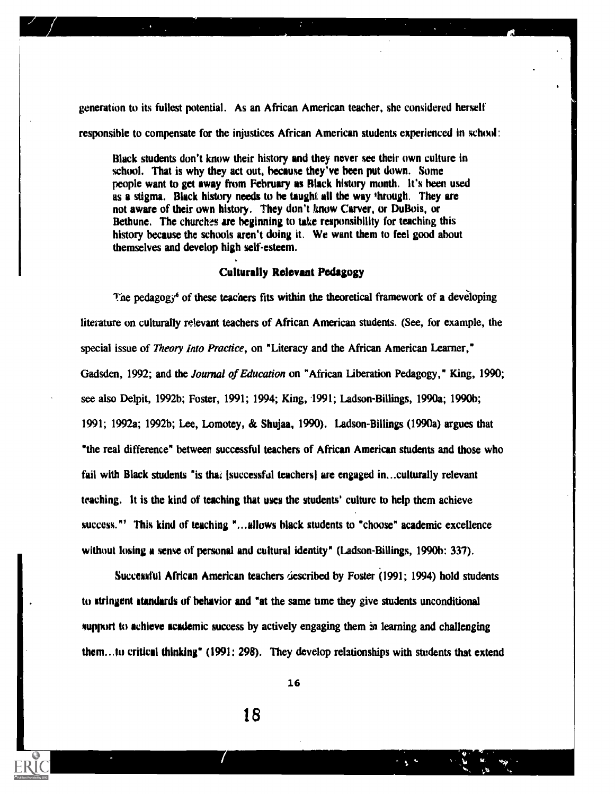generation to its fullest potential. As an African American teacher, she considered herself responsible to compensate for the injustices African American students experienced in school:

Black students don't know their history and they never see their own culture in school. That is why they act out, because they've been put down. Some people want to get away from February as flack history month. It's been used as a stigma. Black history needs to he taught all the way 'hrough. They are not aware of their own history. They don't know Carver, or DuBois, or Bethune. The churches are beginning to take responsibility for teaching this history because the schools aren't doing it. We want them to feel good about themselves and develop high self-esteem.

# Culturally Relevant Pedagogy

The pedagogy<sup>6</sup> of these teachers fits within the theoretical framework of a developing literature on culturally relevant teachers of African American students. (See, for example, the special issue of *Theory Into Practice*, on "Literacy and the African American Learner," Gadsden, 1992; and the *Journal of Education* on "African Liberation Pedagogy," King, 1990; see also Delpit, 1992b; Foster, 1991; 1994; King, 1991; Ladson-Billings, 1990a; 1990b; 1991; 1992a; 1992b; Lee, Lomotey, & Shujaa, 1990). Ladson-Billings (1990a) argues that "the real difference" between successful teachers of African American students and those who fail with Black students "is that (successful teachers) are engaged in...culturally relevant teaching. It is the kind of teaching that uses the students' culture to help them achieve success."' This kind of teaching "...allows black students to "choose" academic excellence without losing a sense of personal and cultural identity" (Ladson-Billings, 1990b: 337).

Successful African American teachers described by Foster  $(1991; 1994)$  hold students to stringent standards of behavior and "at the same time they give students unconditional them...to critical thinking" (1991: 298). They develop relationships with students that extend support to achieve academic success by actively engaging them in learning and challenging

16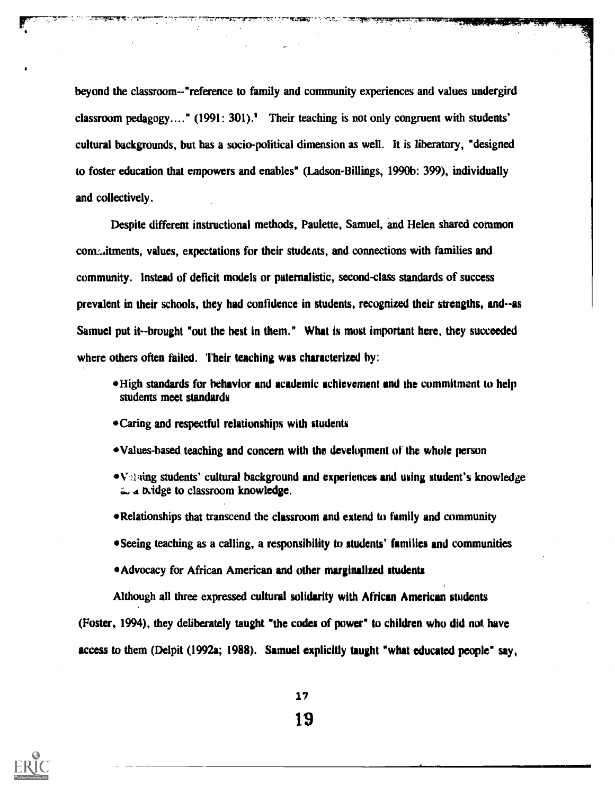beyond the classroom--"reference to family and community experiences and values undergird classroom pedagogy...." (1991: 301).' Their teaching is not only congruent with students' cultural backgrounds, but has a socio-political dimension as well. It is liberatory, "designed to foster education that empowers and enables" (Ladson-Billings, 1990b: 399), individually and collectively.

Despite different instructional methods, Paulette, Samuel, and Helen shared common com<sub>u</sub> itments, values, expectations for their students, and connections with families and community. Instead of deficit models or paternalistic, second-class standards of success prevalent in their schools, they had confidence in students, recognized their strengths, and--as Samuel put it--brought "out the best in them." What is most important here, they succeeded where others often failed. Their teaching was characterized by:

- High standards for behavior and academic achievement and the commitment to help students meet standards
- Caring and respectful relationships with students

্যাল**ক্ষ্মতার ৭**০% ফল

- Values-based teaching and concern with the development of the whole person
- $\blacktriangleright$  V students' cultural background and experiences and using student's knowledge in a bridge to classroom knowledge.
- Relationships that transcend the classroom and extend to family and community
- Seeing teaching as a calling, a responsibility to students' families and communities
- Advocacy for African American and other marginalized students

Although all three expressed cultural solidarity with African American students (Foster, 1994), they deliberately taught "the codes of power" to children who did not have access to them (Delpit (1992a; 1988). Samuel explicitly taught "what educated people" say,



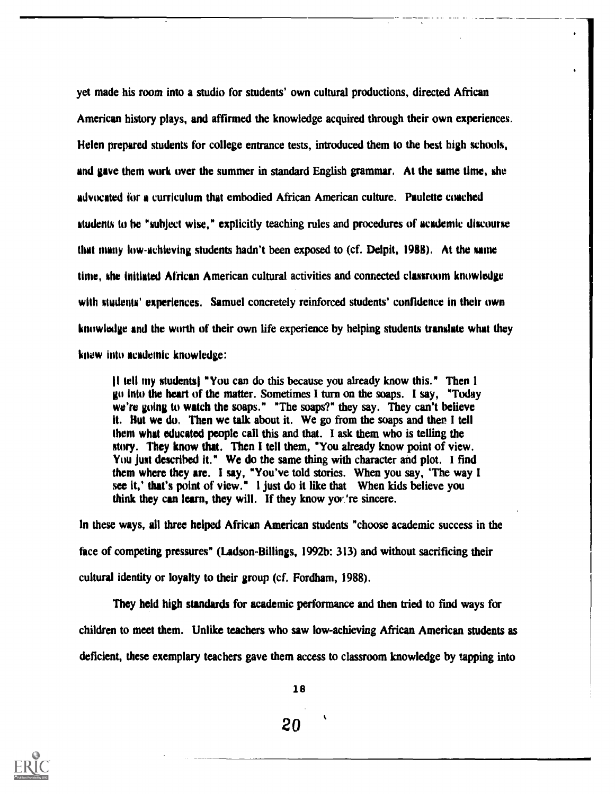yet made his room into a studio for students' own cultural productions, directed African American history plays, and affirmed the knowledge acquired through their own experiences. Helen prepared students for college entrance tests, introduced them to the best high schools, and gave them work over the summer in standard English grammar. At the same time, she advocated for a curriculum that embodied African American culture. Paulette coached students to he "subject wise," explicitly teaching rules and procedures of academic discourse that many low- achieving students hadn't been exposed to (cf. Delpit, 1988). At the same time, she initiated African American cultural activities and connected classroom knowledge with students' experiences. Samuel concretely reinforced students' confidence in their own knowledge and the worth of their own life experience by helping students translate what they knew into academic knowledge:

11 tell my students "You can do this because you already know this." Then I go into the heart of the matter. Sometimes I turn on the soaps. I say, "Today we're going to watch the soaps." "The soaps?" they say. They can't believe it. Hut we do. Then we talk about it. We go from the soaps and then I tell them what educated people call this and that. I ask them who is telling the story. They know that, Then I tell them, "You already know point of view. You just described it." We do the same thing with character and plot. I find them where they are. I say, "You've told stories. When you say, 'The way I see it,' that's point of view." I just do it like that When kids believe you think they can learn, they will. If they know yov 're sincere.

In these ways, all three helped African American students "choose academic success in the face of competing pressures" (Ladson-Billings, 1992b: 313) and without sacrificing their cultural identity or loyalty to their group (cf. Fordham, 1988).

They held high standards for academic performance and then tried to find ways for children to meet them. Unlike teachers who saw low-achieving African American students as deficient, these exemplary teachers gave them access to classroom knowledge by tapping into

18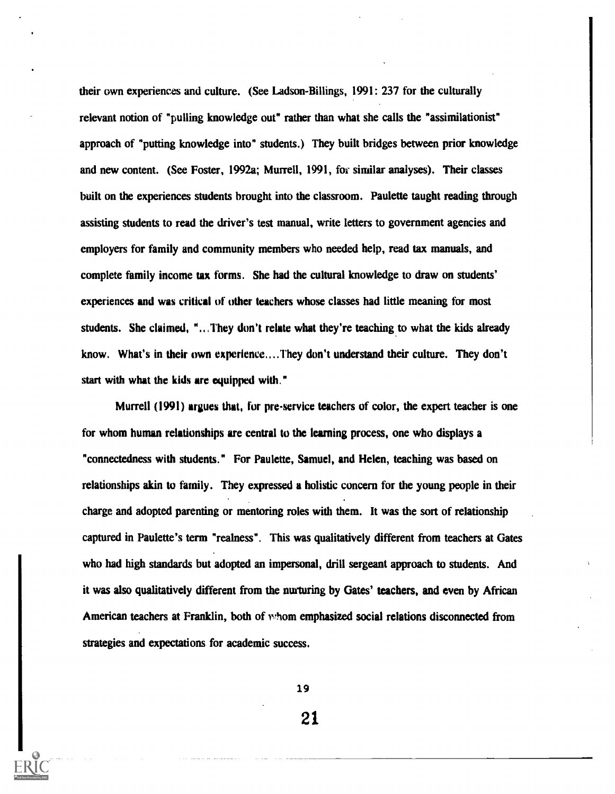their own experiences and culture. (See Ladson-Billings, 1991: 237 for the culturally relevant notion of "pulling knowledge out" rather than what she calls the "assimilationist" approach of "putting knowledge into" students.) They built bridges between prior knowledge and new content. (See Foster, 1992a; Murrell, 1991, for similar analyses). Their classes built on the experiences students brought into the classroom. Paulette taught reading through assisting students to read the driver's test manual, write letters to government agencies and employers for family and community members who needed help, read tax manuals, and complete family income tax forms. She had the cultural knowledge to draw on students' experiences and was critical of other teachers whose classes had little meaning for most students. She claimed, "...They don't relate what they're teaching to what the kids already know. What's in their own experience....They don't understand their culture. They don't start with what the kids are equipped with."

Murrell (1991) argues that, for pre-service teachers of color, the expert teacher is one for whom human relationships are central to the learning process, one who displays a "connectedness with students." For Paulette, Samuel, and Helen, teaching was based on relationships akin to family. They expressed a holistic concern for the young people in their charge and adopted parenting or mentoring roles with them. It was the sort of relationship captured in Paulette's term "realness". This was qualitatively different from teachers at Gates who had high standards but adopted an impersonal, drill sergeant approach to students. And it was also qualitatively different from the nurturing by Gates' teachers, and even by African American teachers at Franklin, both of whom emphasized social relations disconnected from strategies and expectations for academic success.

19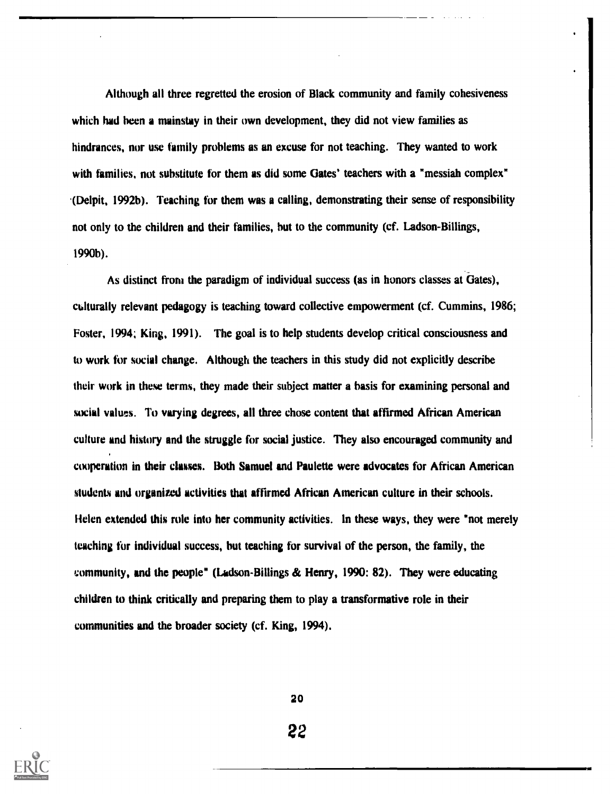Although all three regretted the erosion of Black community and family cohesiveness which had been a mainstay in their own development, they did not view families as hindrances, nor use family problems as an excuse for not teaching. They wanted to work with families, not substitute for them as did some Gates' teachers with a "messiah complex" .(Delpit, 1992b). Teaching for them was a calling, demonstrating their sense of responsibility not only to the children and their families, but to the community (cf. Ladson-Billings, 1990b).

As distinct from the paradigm of individual success (as in honors classes at Gates), culturally relevant pedagogy is teaching toward collective empowerment (cf. Cummins, 1986; Foster, 1994; King, 1991). The goal is to help students develop critical consciousness and to work for social change. Although the teachers in this study did not explicitly describe their work in these terms, they made their subject matter a basis for examining personal and social values. To varying degrees, all three chose content that affirmed African American culture and history and the struggle for social justice. They also encouraged community and cooperation in their classes. Both Samuel and Paulette were advocates for African American students and organized activities that affirmed African American culture in their schools. Helen extended this role into her community activities. In these ways, they were "not merely teaching for individual success, but teaching for survival of the person, the family, the community, and the people" (Ladson-Billings & Henry, 1990: 82). They were educating children to think critically and preparing them to play a transformative role in their communities and the broader society (cf. King, 1994).



20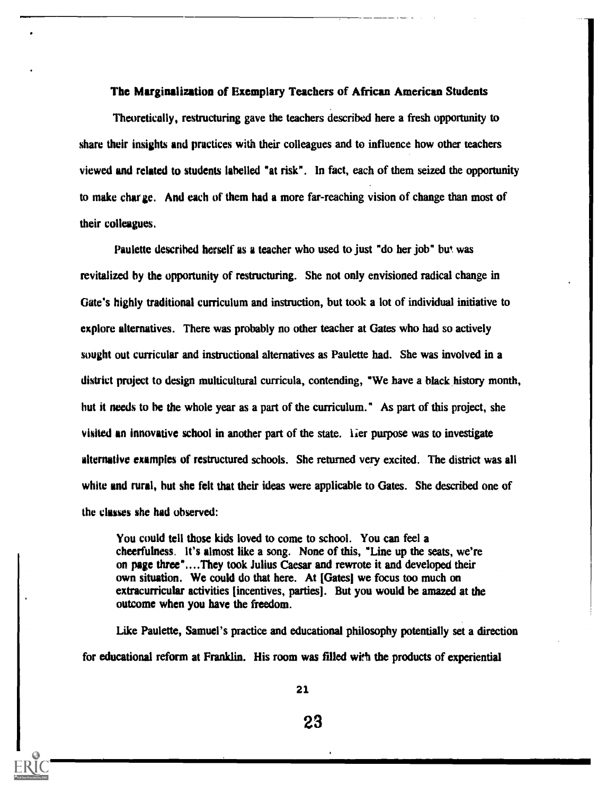# The Marginalization of Exemplary Teachers of African American Students

Theoretically, restructuring gave the teachers described here a fresh opportunity to share their insights and practices with their colleagues and to influence how other teachers viewed and related to students labelled "at risk". In fact, each of them seized the opportunity to make charge. And each of them had a more far-reaching vision of change than most of their colleagues.

Paulette described herself as a teacher who used to just "do her job" but was revitalized by the opportunity of restructuring. She not only envisioned radical change in Gate's highly traditional curriculum and instruction, but took a lot of individual initiative to explore alternatives. There was probably no other teacher at Gates who had so actively sought out curricular and instructional alternatives as Paulette had. She was involved in a district project to design multicultural curricula, contending, "We have a black history month, but it needs to he the whole year as a part of the curriculum." As part of this project, she visited an innovative school in another part of the state. Ther purpose was to investigate alternative examples of restructured schools. She returned very excited. The district was all white and rural, but she felt that their ideas were applicable to Gates. She described one of the classes she had observed:

You could tell those kids loved to come to school. You can feel a cheerfulness. It's almost like a song. None of this, "Line up the seats, we're on page three"....They took Julius Caesar and rewrote it and developed their own situation. We could do that here. At [Gates] we focus too much on extracurricular activities [incentives, parties]. But you would be amazed at the outcome when you have the freedom.

Like Paulette, Samuel's practice and educational philosophy potentially set a direction for educational reform at Franklin. His room was filled with the products of experiential

21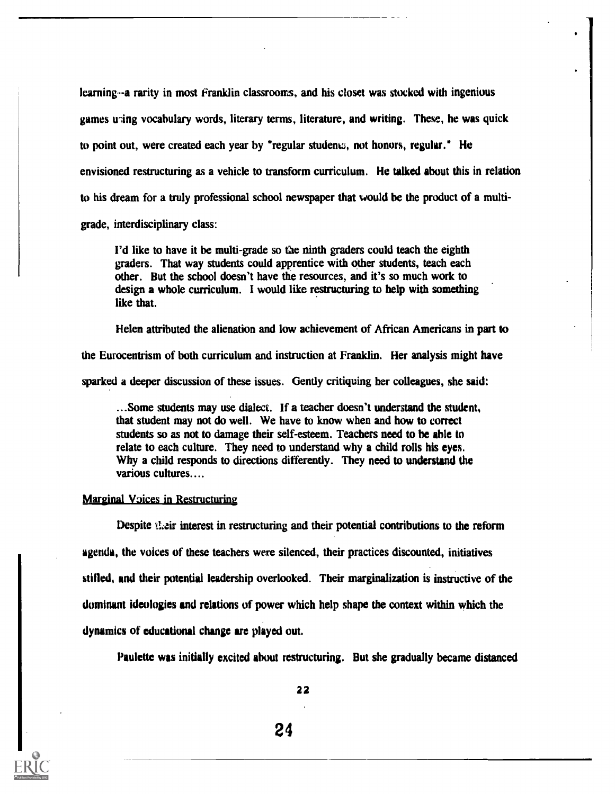learning--a rarity in most Franklin classrooms, and his closet was stocked with ingenious games uning vocabulary words, literary terms, literature, and writing. These, he was quick to point out, were created each year by \*regular studenkz, not honors, regular." He envisioned restructuring as a vehicle to transform curriculum. He talked about this in relation to his dream for a truly professional school newspaper that would be the product of a multigrade, interdisciplinary class:

I'd like to have it be multi-grade so the ninth graders could teach the eighth graders. That way students could apprentice with other students, teach each other. But the school doesn't have the resources, and it's so much work to design a whole curriculum. I would like restructuring to help with something like that.

Helen attributed the alienation and low achievement of African Americans in part to

the Eurocentrism of both curriculum and instruction at Franklin. Her analysis might have

sparked a deeper discussion of these issues. Gently critiquing her colleagues, she said:

...Some students may use dialect. If a teacher doesn't understand the student, that student may not do well. We have to know when and how to correct students so as not to damage their self-esteem. Teachers need to be able to relate to each culture. They need to understand why a child rolls his eyes. Why a child responds to directions differently. They need to understand the various cultures....

#### Marginal Voices in Restructuring

Despite their interest in restructuring and their potential contributions to the reform agenda, the voices of these teachers were silenced, their practices discounted, initiatives stilled, and their potential leadership overlooked. Their marginalization is instructive of the dominant ideologies and relations of power which help shape the context within which the dynamics of educational change are played out.

Paulette was initially excited about restructuring. But she gradually became distanced

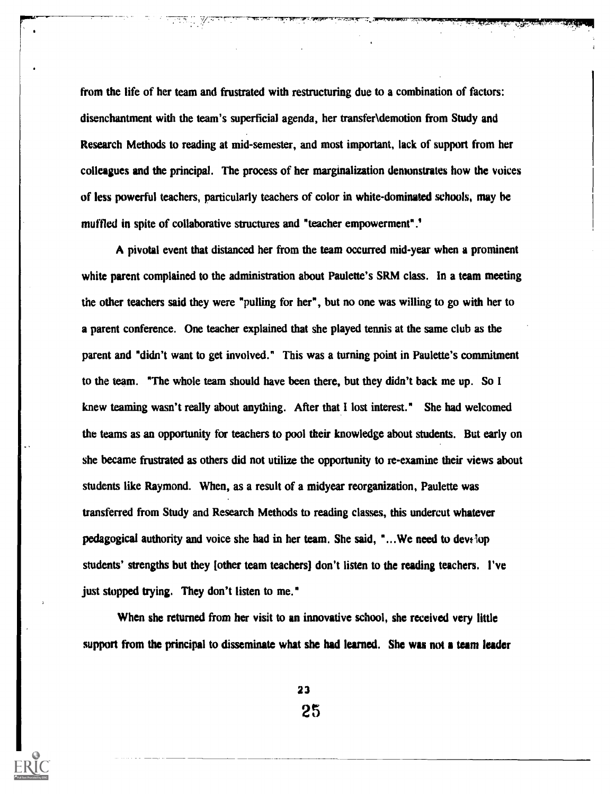from the life of her team and frustrated with restructuring due to a combination of factors: disenchantment with the team's superficial agenda, her transfer\demotion from Study and Research Methods to reading at mid-semester, and most important, lack of support from her colleagues and the principal. The process of her marginalization demonstrates how the voices of less powerful teachers, particularly teachers of color in white-dominated schools, may be muffled in spite of collaborative structures and "teacher empowerment".'

A pivotal event that distanced her from the team occurred mid-year when a prominent white parent complained to the administration about Paulette's SRM class. In a team meeting the other teachers said they were "pulling for her", but no one was willing to go with her to a parent conference. One teacher explained that she played tennis at the same club as the parent and "didn't want to get involved." This was a turning point in Paulette's commitment to the team. "The whole team should have been there, but they didn't back me up. So I knew teaming wasn't really about anything. After that I lost interest." She had welcomed the teams as an opportunity for teachers to pool their knowledge about students. But early on she became frustrated as others did not utilize the opportunity to re-examine their views about students like Raymond. When, as a result of a midyear reorganization, Paulette was transferred from Study and Research Methods to reading classes, this undercut whatever pedagogical authority and voice she had in her team. She said, " $\ldots$ We need to develop students' strengths but they [other team teachers] don't listen to the reading teachers. I've just stopped trying. They don't listen to me."

When she returned from her visit to an innovative school, she received very little support from the principal to disseminate what she had learned. She was not a team leader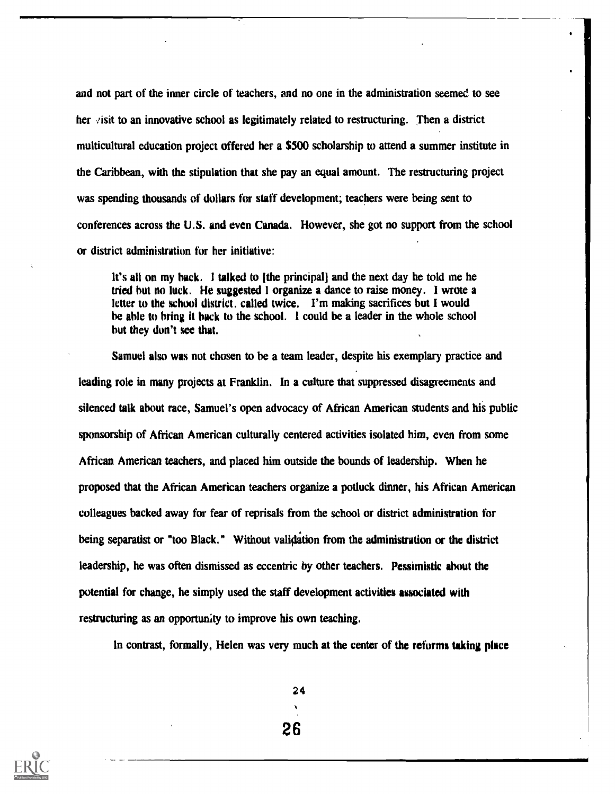and not part of the inner circle of teachers, and no one in the administration seemed to see her  $\vee$  isit to an innovative school as legitimately related to restructuring. Then a district multicultural education project offered her a \$500 scholarship to attend a summer institute in the Caribbean, with the stipulation that she pay an equal amount. The restructuring project was spending thousands of dollars for staff development; teachers were being sent to conferences across the U.S. and even Canada. However, she got no support from the school or district administration for her initiative:

It's all on my back. I talked to lithe principall and the next day he told me he tried but no luck. He suggested I organize a dance to raise money. I wrote a letter to the school district. called twice. I'm making sacrifices but I would be able to bring it hack to the school. I could be a leader in the whole school but they don't see that.

Samuel also was not chosen to be a team leader, despite his exemplary practice and leading role in many projects at Franklin. In a culture that suppressed disagreements and silenced talk about race, Samuel's open advocacy of African American students and his public sponsorship of African American culturally centered activities isolated him, even from some African American teachers, and placed him outside the bounds of leadership. When he proposed that the African American teachers organize a potluck dinner, his African American colleagues backed away for fear of reprisals from the school or district administration for being separatist or "too Black." Without validation from the administration or the district leadership, he was often dismissed as eccentric by other teachers. Pessimistic about the potential for change, he simply used the staff development activities associated with restructuring as an opportunity to improve his own teaching.

In contrast, formally, Helen was very much at the center of the reforms taking place



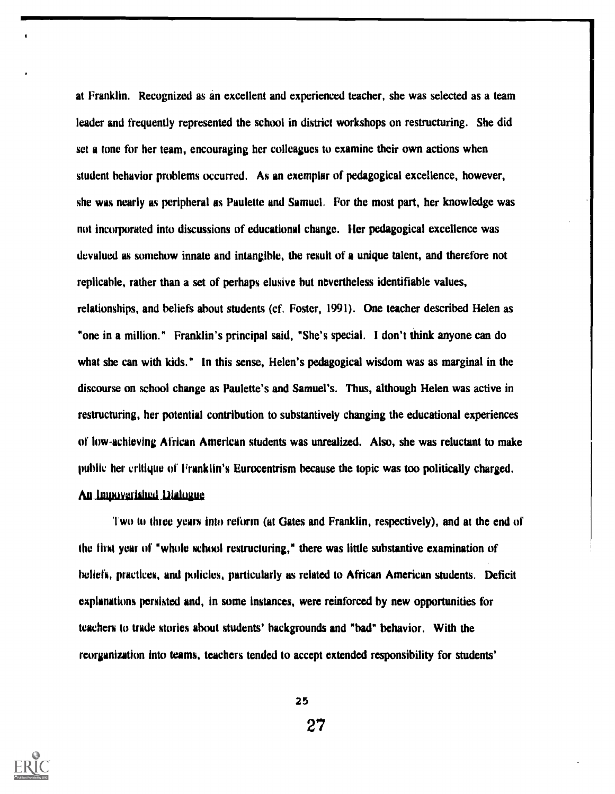at Franklin. Recognized as an excellent and experienced teacher, she was selected as a team leader and frequently represented the school in district workshops on restructuring. She did set a tone for her team, encouraging her colleagues to examine their own actions when student behavior problems occurred. As an exemplar of pedagogical excellence, however, she was nearly as peripheral as Paulette and Samuel. For the most part, her knowledge was not incorporated into discussions of educational change. Her pedagogical excellence was devalued as somehow innate and intangible, the result of a unique talent, and therefore not replicable, rather than a set of perhaps elusive but nevertheless identifiable values, relationships, and beliefs about students (cf. Foster, 1991). One teacher described Helen as "one in a million." Franklin's principal said, "She's special. I don't think anyone can do what she can with kids." In this sense, Helen's pedagogical wisdom was as marginal in the discourse on school change as Paulette's and Samuel's. Thus, although Helen was active in restructuring, her potential contribution to substantively changing the educational experiences of low-achieving African American students was unrealized. Also, she was reluctant to make public her critique of Franklin's Eurocentrism because the topic was too politically charged.

# An Impoverished Dialogue

Two to three years into reform (at Gates and Franklin, respectively), and at the end of the find year of "whole school restructuring," there was little substantive examination of beliefs, practices, and policies, particularly as related to African American students. Deficit explanations persisted and, in some instances, were reinforced by new opportunities for teachers to trade stories about students' backgrounds and "bad" behavior. With the reorganization into teams, teachers tended to accept extended responsibility for students'

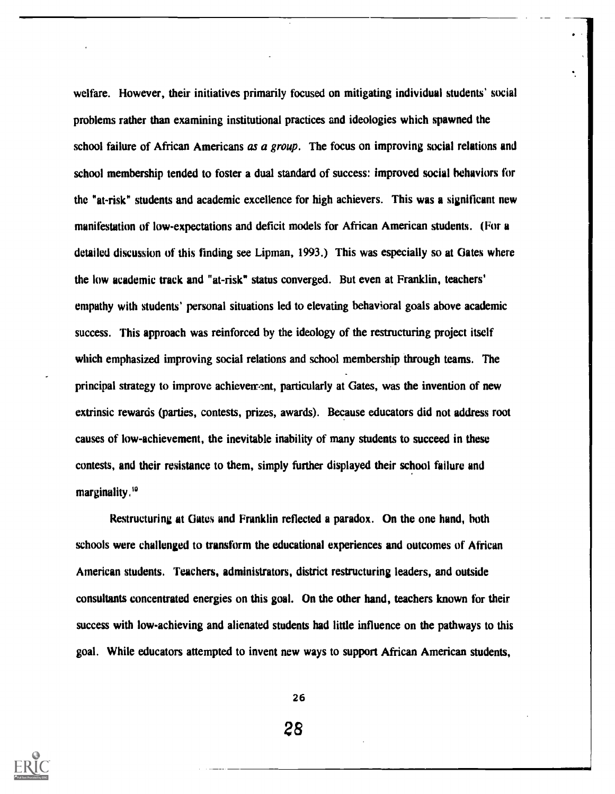welfare. However, their initiatives primarily focused on mitigating individual students' social problems rather than examining institutional practices and ideologies which spawned the school failure of African Americans as a group. The focus on improving social relations and school membership tended to foster a dual standard of success: improved social behaviors for the "at-risk" students and academic excellence for high achievers. This was a significant new manifestation of low-expectations and deficit models for African American students. (For a detailed discussion of this finding see Lipman, 1993.) This was especially so at Gates where the low academic track and "at-risk" status converged. But even at Franklin, teachers' empathy with students' personal situations led to elevating behavioral goals above academic success. This approach was reinforced by the ideology of the restructuring project itself which emphasized improving social relations and school membership through teams. The principal strategy to improve achievement, particularly at Gates, was the invention of new extrinsic rewards (parties, contests, prizes, awards). Because educators did not address root causes of low-achievement, the inevitable inability of many students to succeed in these contests, and their resistance to them, simply further displayed their school failure and marginality.<sup>10</sup>

Restructuring at Gates and Franklin reflected a paradox. On the one hand, both schools were challenged to transform the educational experiences and outcomes of African American students. Teachers, administrators, district restructuring leaders, and outside consultants concentrated energies on this goal. On the other hand, teachers known for their success with low-achieving and alienated students had little influence on the pathways to this goal. While educators attempted to invent new ways to support African American students,

26



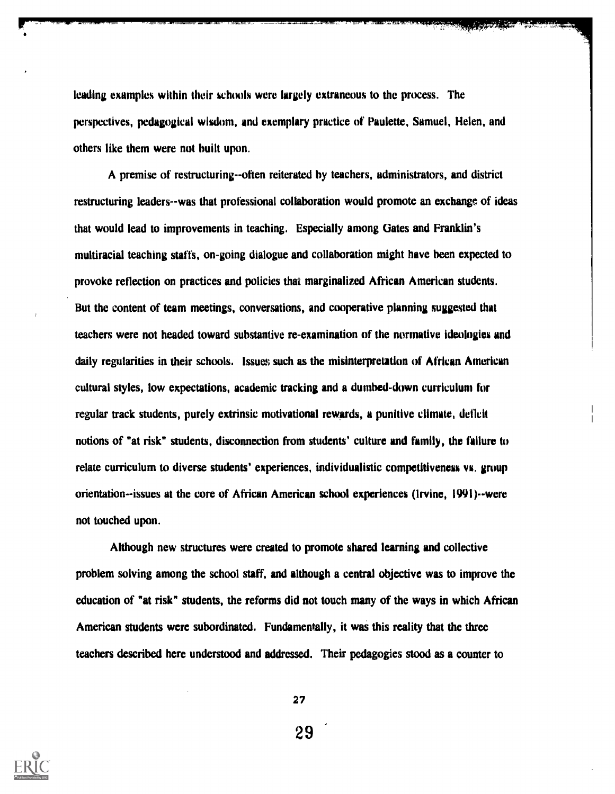leading examples within their schools were largely extraneous to the process. The perspectives, pedagogical wisdom, and exemplary practice of Paulette, Samuel, Helen, and others like them were not built upon.

A premise of restructuring--often reiterated by teachers, administrators, and district restructuring leaders--was that professional collaboration would promote an exchange of ideas that would lead to improvements in teaching. Especially among Gates and Franklin's multiracial teaching staffs, on-going dialogue and collaboration might have been expected to provoke reflection on practices and policies that marginalized African American students. But the content of team meetings, conversations, and cooperative planning suggested that teachers were not headed toward substantive re-examination of the normative ideologies and daily regularities in their schools. Issues such as the misinterpretation of African American cultural styles, low expectations, academic tracking and a dumbed-down curriculum for regular track students, purely extrinsic motivational rewards, a punitive climate, deficit notions of "at risk" students, disconnection from students' culture and family, the failure to relate curriculum to diverse students' experiences, individualistic competitiveness vs. group orientation--issues at the core of African American school experiences (Irvine, 1991)--were not touched upon.

Although new structures were created to promote shared learning and collective problem solving among the school staff, and although a central objective was to improve the education of "at risk" students, the reforms did not touch many of the ways in which African American students were subordinated. Fundamentally, it was this reality that the three teachers described here understood and addressed. Their pedagogies stood as a counter to



27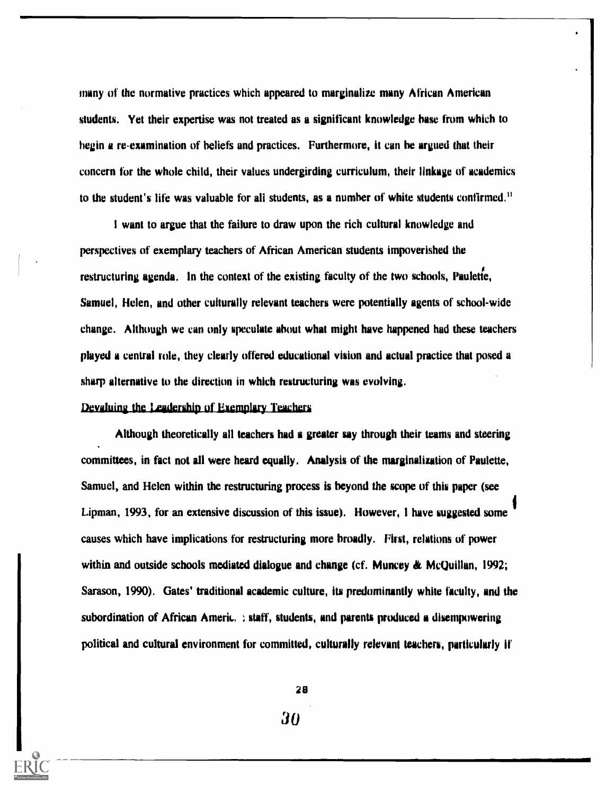many of the normative practices which appeared to marginalize many African American students. Yet their expertise was not treated as a significant knowledge base from which to begin a re-examination of beliefs and practices. Furthermore, it can be argued that their concern for the whole child, their values undergirding curriculum, their linkage of academics to the student's life was valuable for all students, as a number of white students confirmed."

I want to argue that the failure to draw upon the rich cultural knowledge and perspectives of exemplary teachers of African American students impoverished the restructuring agenda. In the context of the existing faculty of the two schools, Paulette, Samuel, Helen, and other culturally relevant teachers were potentially agents of school-wide change. Although we can only speculate about what might have happened had these teachers played a central role, they clearly offered educational vision and actual practice that posed a sharp alternative to the direction in which restructuring was evolving.

#### Devaluing the Leadership of Exemplary Teachers.

Although theoretically all teachers had a greater say through their teams and steering committees, in fact not all were heard equally. Analysis of the marginalization of Paulette, Samuel, and Helen within the restructuring process is beyond the scope of this paper (see Lipman, 1993, for an extensive discussion of this issue). However, I have suggested some causes which have implications for restructuring more broadly. First, relations of power within and outside schools mediated dialogue and change (cf. Muncey & McQuillan, 1992; Sarason, 1990). Gates' traditional academic culture, its predominantly white faculty, and the subordination of African Americ..., staff, students, and parents produced a disempowering political and cultural environment for committed, culturally relevant teachers, particularly it'

28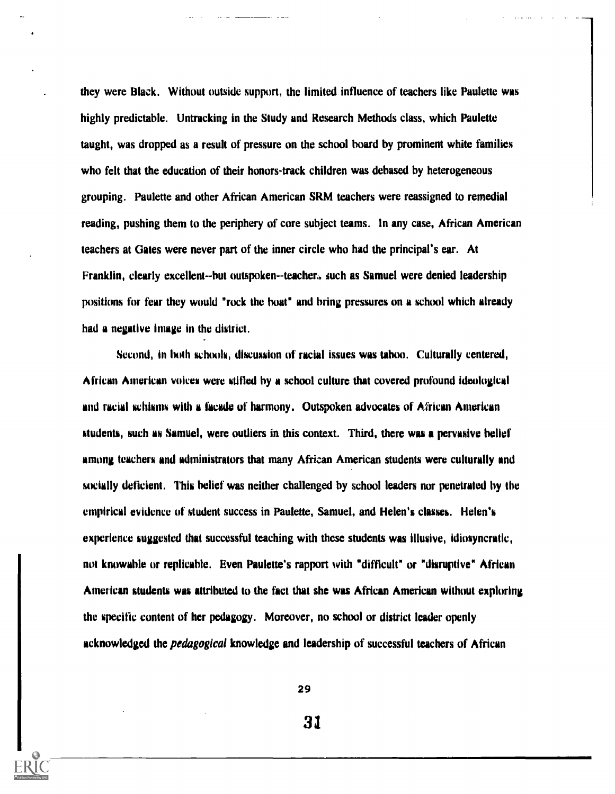they were Black. Without outside support, the limited influence of teachers like Paulette was highly predictable. Untracking in the Study and Research Methods class, which Paulette taught, was dropped as a result of pressure on the school board by prominent white families who felt that the education of their honors-track children was debased by heterogeneous grouping. Paulette and other African American SRM teachers were reassigned to remedial reading, pushing them to the periphery of core subject teams. In any case, African American teachers at Gates were never part of the inner circle who had the principal's ear. At Franklin, clearly excellent--but outspoken--teacher. such as Samuel were denied leadership positions for fear they would "rock the boat" and bring pressures on a school which already had a negative image in the district.

Second, in both schools, discussion of racial issues was taboo. Culturally centered, African American voices were stifled by a school culture that covered profound ideological and racial schisms with a facade of harmony. Outspoken advocates of African American students, such as Samuel, were outliers in this context. Third, there was a pervasive belief among teachers and administrators that many African American students were culturally and socially deficient. This belief was neither challenged by school leaders nor penetrated by the empirical evidence of student success in Paulette, Samuel, and Helen's classes. Helen's experience suggested that successful teaching with these students was illusive, idiosyncratic, not knowable or replicable, Even Paulette's rapport with "difficult" or "disruptive" African American students was attributed to the fact that she was African American without exploring the specific content of her pedagogy. Moreover, no school or district leader openly acknowledged the *pedagogical* knowledge and leadership of successful teachers of African

29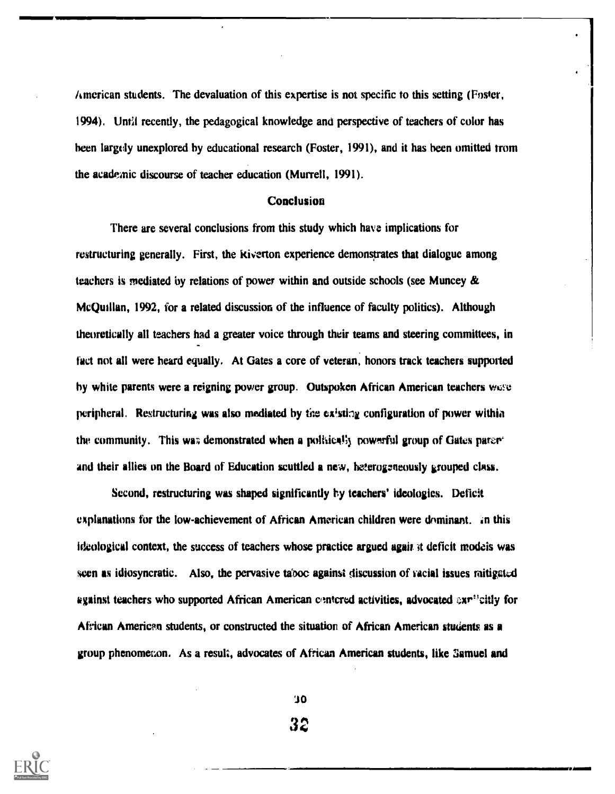American students. The devaluation of this expertise is not specific to this setting (Foster, 1994). Until recently, the pedagogical knowledge and perspective of teachers of color has been largely unexplored by educational research (Foster, 1991), and it has been omitted trom the academic discourse of teacher education (Murrell, 1991).

# **Conclusion**

There are several conclusions from this study which have implications for restructuring generally. First, the kiverton experience demonstrates that dialogue among teachers is mediated by relations of power within and outside schools (see Muncey  $\&$ McQuillan, 1992, for a related discussion of the influence of faculty politics). Although theoretically all teachers had a greater voice through their teams and steering committees, in fact not all were heard equally. At Gates a core of veteran, honors track teachers supported by white parents were a reigning power group. Outspoken African American teachers wave peripheral. Restructuring was also mediated by the existing configuration of power within the community. This was demonstrated when a politically powerful group of Gates parer<sup>-</sup> and their allies on the Board of Education scuffled a new, heterogeneously grouped class.

Second, restructuring was shaped significantly by teachers' ideologies. Deficit explanations for the low-achievement of African American children were dominant. in this ideological context, the success of teachers whose practice argued  $\alpha$  again it deficit models was seen as idiosyncratic. Also, the pervasive taboo against discussion of vacial issues mitigated against teachers who supported African American centered activities, advocated  $\alpha x^{12}$ citly for African American students, or constructed the situation of African American students as a group phenomenon. As a result, advocates of African American students, like Samuel and

> JO 3ti

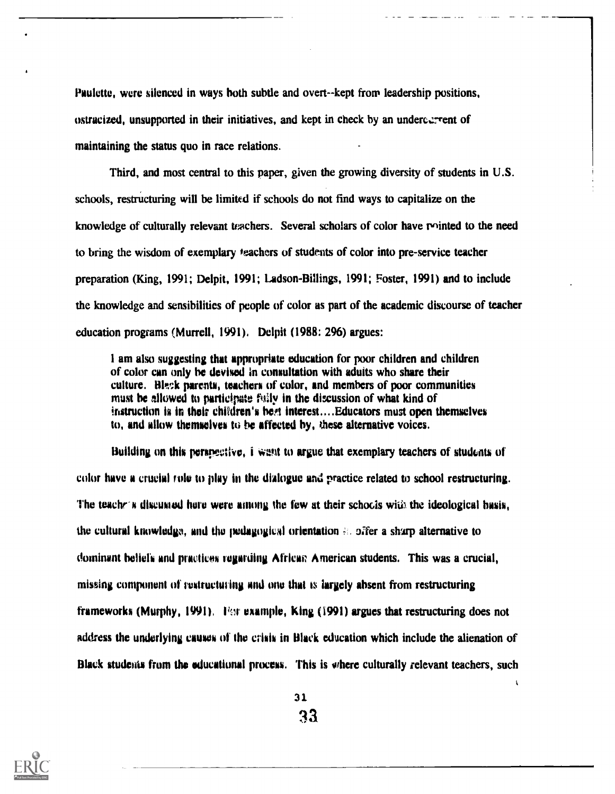Paulette, were silenced in ways both subtle and overt--kept from leadership positions, ostracized, unsupported in their initiatives, and kept in check by an undercarrent of maintaining the status quo in race relations.

Third, and most central to this paper, given the growing diversity of students in U.S. schools, restructuring will be limited if schools do not find ways to capitalize on the knowledge of culturally relevant teachers. Several scholars of color have minted to the need to bring the wisdom of exemplary teachers of students of color into pre-service teacher preparation (King, 1991; Delpit, 1991; Ladson-Billings, 1991; Foster, 1991) and to include the knowledge and sensibilities of people of color as part of the academic discourse of teacher education programs (Murrell, 1991). Delpit (1988: 296) argues:

I am also suggesting that appropriate education for poor children and children of color can only be devised in consultation with aduits who share their culture. Hisck parents, teachers of color, and members of poor communities must be allowed to participate faily in the discussion of what kind of instruction is in their children's beet interest.... Educators must open themselves to, and allow themselves to be affected by, these alternative voices.

Building on this perspective, i Want to argue that exemplary teachers of students of color have a crucial role to play in the dialogue and practice related to school restructuring. The teachers discussed hare were among the few at their schools with the ideological basis, the cultural knowledge, and the pedagogical orientation  $\epsilon$ , offer a sharp alternative to dominant beliefs and practices regarding African American students. This was a crucial, missing component of restructuring and one that is largely absent from restructuring frameworks (Murphy, 1991). For example, King (1991) argues that restructuring does not address the underlying causes of the crisis in Black education which include the alienation of Black students from the educational process. This is where culturally relevant teachers, such



31. 33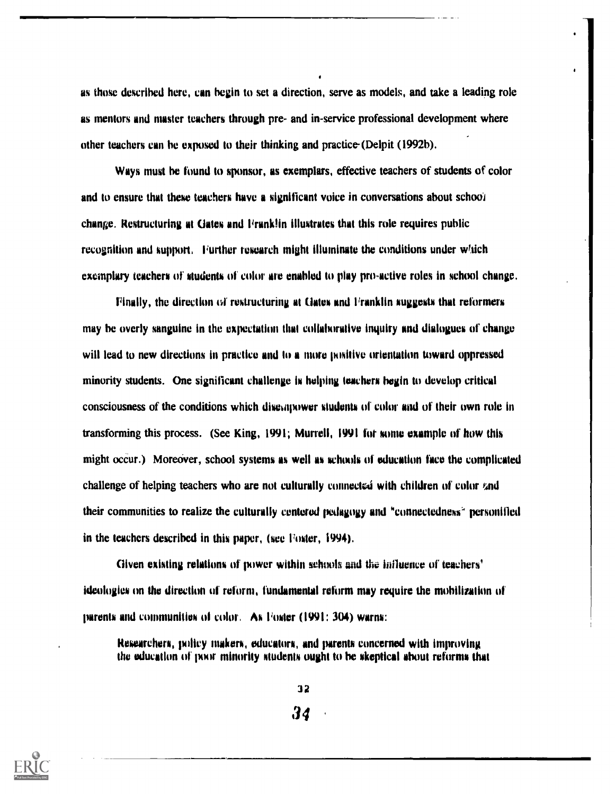as those described here, can begin to set a direction, serve as models, and take a leading role as mentors and master teachers through pre- and in-service professional development where other teachers can he exposed to their thinking and practice-(Delpit (1992b).

Ways must he found to sponsor, as exemplars, effective teachers of students of color and to ensure that these teachers have a significant voice in conversations about school change. Restructuring at Gates and Franklin illustrates that this role requires public recognition and support, Further research might illuminate the conditions under wfich exemplary teachers of students of color are enabled to play pro-active roles in school change.

Finally, the direction of restructuring at Gates and Franklin suggests that reformers may he overly sanguine in the expectation that collaborative inquiry and dialogues of change will lead to new directions in practice and to a more positive orientation toward oppressed minority students. One significant challenge is helping teachers begin to develop critical consciousness of the conditions which disempower students of color and of their own role in transforming this process. (See King, 1991; Murrell, 1991 for some example of how this might occur.) Moreover, school systems as well as schools of education face the complicated challenge of helping teachers who are not culturally connected with children of color  $\ell$ nd their communities to realize the culturally centered pedagogy and "connectedness' personified in the teachers described in this paper, (see Foster, 1994).

Given existing relations of power within schools and the influence of teachers' ideologies on the direction of reform, fundamental reform may require the mobilization of parents and communities of color. As Foster (1991: 304) warns:

Researchers, policy makers, educators, and parents concerned with improving the education of poor minority students ought to be skeptical about reforms that



32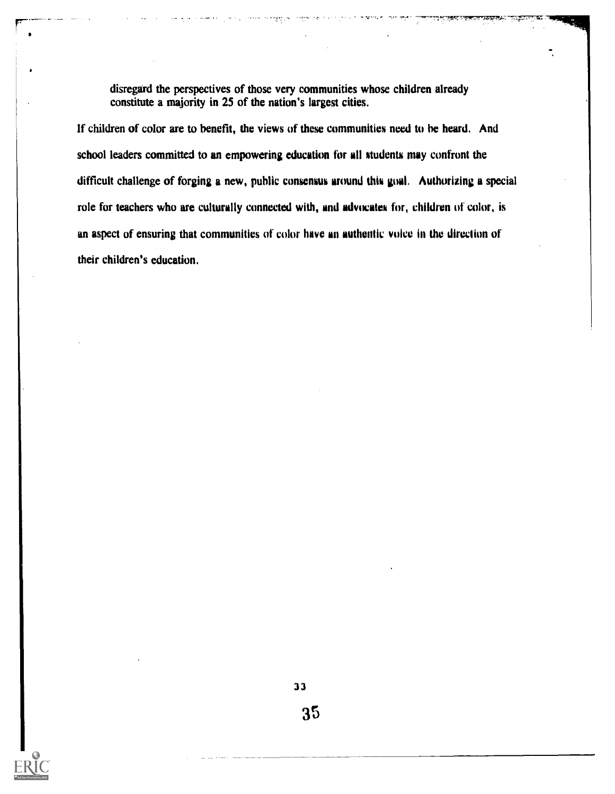disregard the perspectives of those very communities whose children already constitute a majority in 25 of the nation's largest cities.

If children of color are to benefit, the views of these communities need to be heard. And school leaders committed to an empowering education for all students may confront the difficult challenge of forging a new, public consensus around this goal. Authorizing a special role for teachers who are culturally connected with, and advocates for, children of color, is an aspect of ensuring that communities of color have an authentic voice in the direction of their children's education.

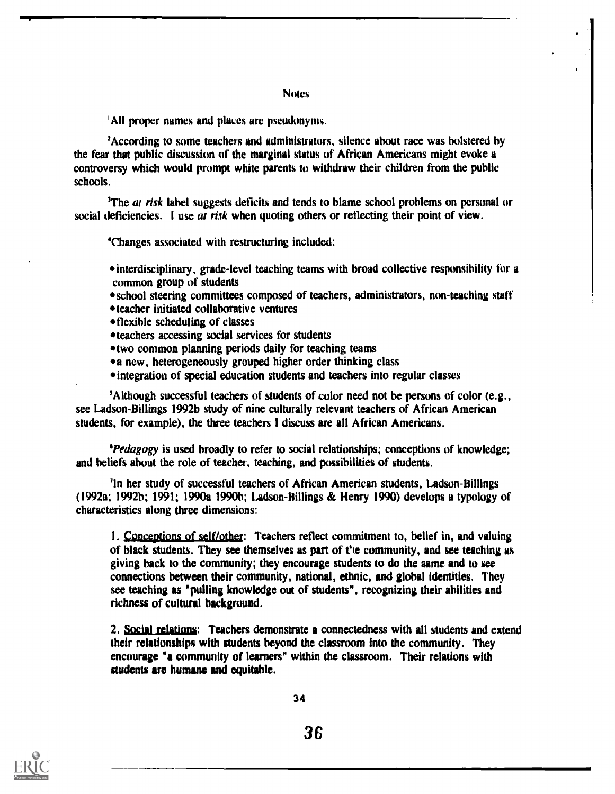All proper names and places are pseudonyms.

'According to some teachers and administrators, silence about race was bolstered by the fear that public discussion of the marginal status of African Americans might evoke a controversy which would prompt white parents to withdraw their children from the public schools.

<sup>3</sup>The *at risk* label suggests deficits and tends to blame school problems on personal or social deficiencies. I use at risk when quoting others or reflecting their point of view.

`Changes associated with restructuring included:

interdisciplinary, grade-level teaching teams with broad collective responsibility for a common group of students

- school steering committees composed of teachers, administrators, non-teaching staff
- teacher initiated collaborative ventures
- flexible scheduling of classes
- teachers accessing social services for students
- two common planning periods daily for teaching teams
- a new, heterogeneously grouped higher order thinking class
- 'integration of special education students and teachers into regular classes

'Although successful teachers of students of color need not be persons of color (e.g., see Ladson-Billings 1992b study of nine culturally relevant teachers of African American students, for example), the three teachers I discuss are all African Americans.

'Pedagogy is used broadly to refer to social relationships; conceptions of knowledge; and beliefs about the role of teacher, teaching, and possibilities of students.

'In her study of successful teachers of African American students, Ladson-Billings (1992a; 1992b; 1991; 1990a 1990b; Ladson-Billings & Henry 1990) develops a typology of characteristics along three dimensions:

1. Conceptions of self/other: Teachers reflect commitment to, belief in, and valuing of black students. They see themselves as part of fie community, and see teaching as giving back to the community; they encourage students to do the same and to see connections between their community, national, ethnic, and global identities. They see teaching as "pulling knowledge out of students", recognizing their abilities and richness of cultural background.

2. Social relations: Teachers demonstrate a connectedness with all students and extend their relationships with students beyond the classroom into the community. They encourage "a community of learners" within the classroom. Their relations with students arc humane and equitable.

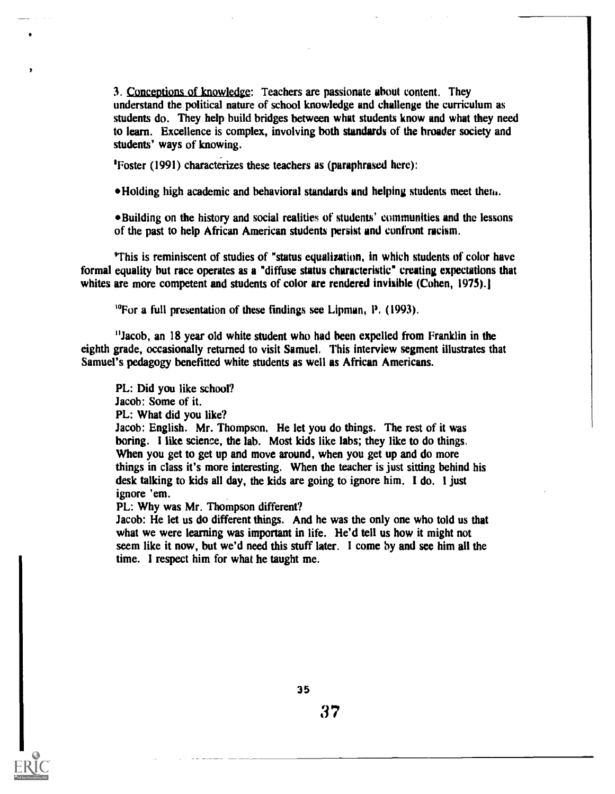3. Conceptions of knowledge: Teachers are passionate about content. They understand the political nature of school knowledge and challenge the curriculum as students do. They help build bridges between what students know and what they need to learn. Excellence is complex, involving both standards of the broader society and students' ways of knowing.

'Foster (1991) characterizes these teachers as (paraphrased here):

Holding high academic and behavioral standards and helping students meet thew.

\*Building on the history and social realities of students' communities and the lessons of the past to help African American students persist and confront racism.

'This is reminiscent of studies of "status equalization, in which students of color have formal equality but race operates as a "diffuse status characteristic" creating expectations that whites are more competent and students of color are rendered invisible (Cohen, 1975).

<sup>10</sup>For a full presentation of these findings see Lipman, P. (1993).

"Jacob, an 18 year old white student who had been expelled from Franklin in the eighth grade, occasionally returned to visit Samuel. This interview segment illustrates that Samuel's pedagogy benefitted white students as well as African Americans.

PL: Did you like school? Jacob: Some of it. PL: What did you like? Jacob: English. Mr. Thompson, He let you do things. The rest of it was boring. I like science, the lab. Most kids like labs; they like to do things. When you get to get up and move around, when you get up and do more things in class it's more interesting. When the teacher is just sitting behind his desk talking to kids all day, the kids are going to ignore him. I do. 1 just ignore 'em.

PL: Why was Mr. Thompson different?

Jacob: He let us do different things. And he was the only one who told us that what we were learning was important in life. He'd tell us how it might not seem like it now, but we'd need this stuff later. I come by and see him all the time. I respect him for what he taught me.

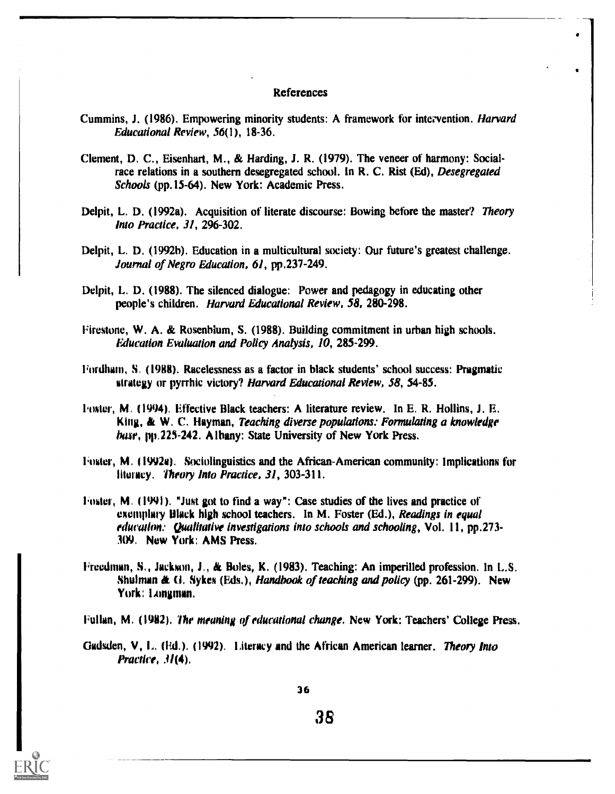#### References

- Cummins, J. (1986). Empowering minority students: A framework for intervention. Harvard Educational Review, 56(1), 18-36.
- Clement, D. C., Eisenhart, M., & Harding, J. R. (1979). The veneer of harmony: Socialrace relations in a southern desegregated school. In R. C. Rist (Ed), Desegregated Schools (pp.15-64). New York: Academic Press.
- Delpit, L. D. (1992a). Acquisition of literate discourse: Bowing before the master? Theory Into Practice, 31, 296-302.
- Delpit, L. D. (1992h). Education in a multicultural society: Our future's greatest challenge. Journal of Negro Education, 61, pp.237-249.
- Delpit, L. D. (1988). The silenced dialogue: Power and pedagogy in educating other people's children. Harvard Educational Review, 58, 280-298.
- Firestone, W. A. & Rosenbium, S. (1988). Building commitment in urban high schools. Education Evaluation and Policy Analysis, 10, 285-299.
- liordham, S. (1988). Racelessness as a factor in black students' school success: Pragmatic strategy or pyrrhic victory? Harvard Educational Review, 58, 54-85.
- Lister, M. (1994). Effective Black teachers: A literature review. In E. R. Hollins, J. E. King, & W. C. Hayman, Teaching diverse populations: Formulating a knowledge hase, pp.225-242. Albany: State University of New York Press.
- 'letter, M. (1992w). Sociolinguistics and the African-American community: Implications for literacy. Theory into Practice, 31, 303-311.
- Foster, M. (1991). "Just got to find a way": Case studies of the lives and practice of exemplary Hlack high school teachers. In M. Foster (Ed.), Readings in equal educallon: Qualitative investigations into schools and schooling, Vol. 11, pp.273- 309, New York: AMS Press.
- 1;reedman, S., Jackson, J., & Roles, K. (1983). Teaching: An imperilled profession. In L.S. Shulman & G. Sykes (Eds.), Handbook of teaching and policy (pp. 261-299). New York: Longman.
- Fullan, M. (1982). 'The meaning of educational change. New York: Teachers' College Press.
- Gadsden, V, L. (Ed.). (1992). Literacy and the African American learner. Theory Into Practice, 3/(4).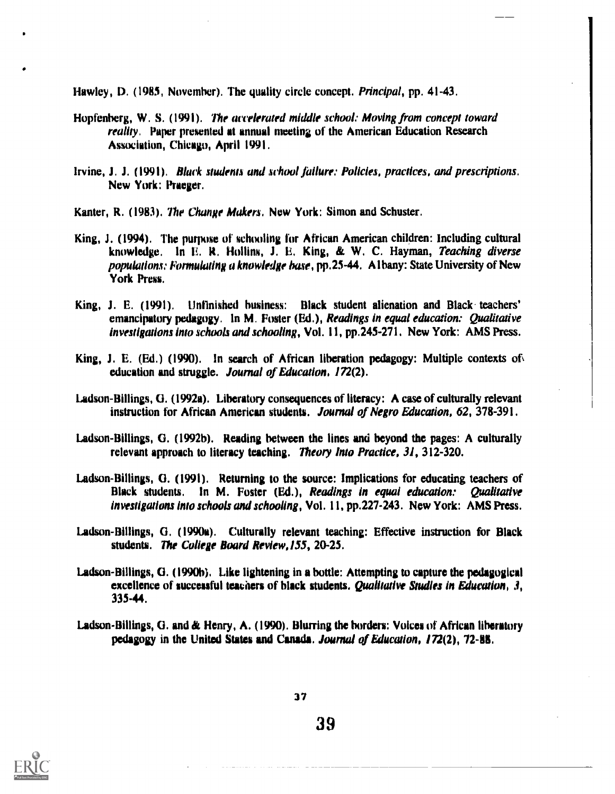Hawley, D. (1985, November). The quality circle concept. Principal, pp. 41-43.

- Hopfenberg, W. S. (1991). The accelerated middle school: Moving from concept toward reality. Paper presented at annual meeting of the American Education Research Association, Chicago, April 1991.
- Irvine, J. J. (1991). Black students and school failure: Policies, practices, and prescriptions. New York: Praeger.
- Kanter, R. (1983). The Change Makers. New York: Simon and Schuster.
- King, J. (1994). The purpose of schooling for African American children: Including cultural knowledge. In E. R. Hollins, J. E. King, & W. C. Hayman, Teaching diverse populations; Formulating a knowledge base, pp.25-44. Albany: State University of New York Press.
- King, J. E. (1991). Unfinished business: Black student alienation and Black teachers' emancipatory pedagogy. In M. Foster (Ed.), Readings in equal education: Qualitative investigations into schools and schooling, Vol. 11, pp.245-271. New York: AMS Press.
- King, J. E. (Ed.) (1990). In search of African liberation pedagogy: Multiple contexts of education and struggle. Journal of Education, 172(2).
- Ladson-Billings, G. (1992a). Liberatory consequences of literacy: A case of culturally relevant instruction for African American students. Journal of Negro Education, 62, 378-391.
- Ladson-Billings, G. (1992b). Reading between the lines and beyond the pages: A culturally relevant approach to literacy teaching. Theory Into Practice, 31, 312-320.
- Ladson-Billings, G. (1991). Returning to the source: Implications for educating teachers of Black students. In M. Foster (Ed.), Readings in equal education: Qualitative investigations into schools and schooling, Vol. 11, pp.227-243. New York: AMS Press.
- Ladson-Billings, G. (1990a). Culturally relevant teaching: Effective instruction for Black students. The College Board Review,155, 20-25.
- Ladson-Billings, (3. (1990h). Like lightening in a bottle: Attempting to capture the pedagogical excellence of successful teachers of black students. Qualitative Studies in Education, 3, 335-44,
- Ladson-Billings, G. and & Henry, A. (1990). Blurring the borders: Voices of African liheratory pedagogy in the United States and Canada. Journal of Education, 172(2), 72-88.



37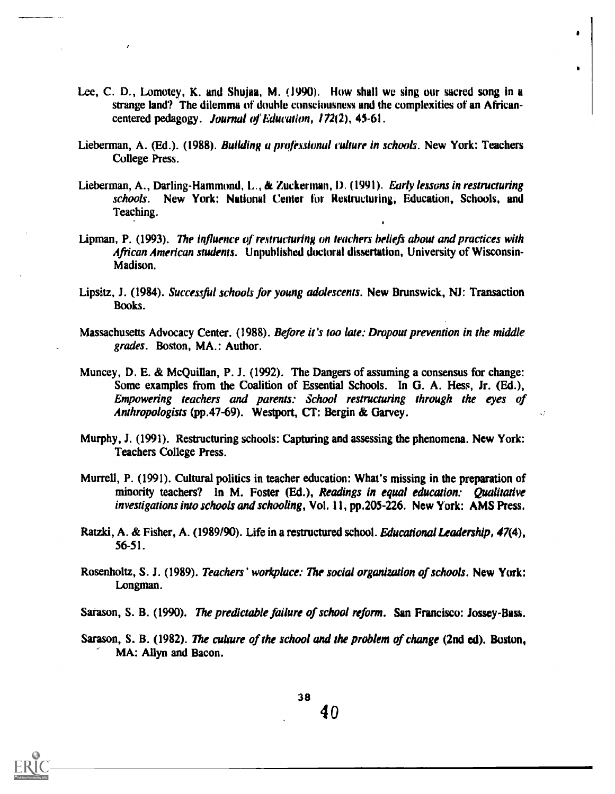- Lee, C. D., Lomotey, K. and Shuiaa, M. (1990). How shall we sing our sacred song in a strange land? The dilemma of double consciousness and the complexities of an Africancentered pedagogy. Journal of Education, 172(2), 45-61.
- Lieberman, A. (Ed.). (1988). *Building a professional culture in schools*. New York: Teachers College Press.
- Lieberman, A., Darling-Hammond, L., & Zuckerman, D. (1991). Early lessons in restructuring schools. New York: National Center for Restructuring, Education, Schools, and Teaching.
- Lipman, P. (1993). The influence of restructuring on teachers beliefs about and practices with African American students. Unpublished doctoral dissertation, University of Wisconsin-Madison.
- Lipsitz, J. (1984). Successful schools for young adolescents. New Brunswick, NJ: Transaction Books.
- Massachusetts Advocacy Center. (1988). Before it's too late: Dropout prevention in the middle grades. Boston, MA.: Author.
- Muncey, D. E. & McQuillan, P. J. (1992). The Dangers of assuming a consensus for change: Some examples from the Coalition of Essential Schools. In G. A. Hess, Jr. (Ed.), Empowering teachers and parents: School restructuring through the eyes of Anthropologists (pp.47-69). Westport, CT: Bergin & Garvey.
- Murphy, J. (1991). Restructuring schools: Capturing and assessing the phenomena. New York: Teachers College Press.
- Murrell, P. (1991). Cultural politics in teacher education: What's missing in the preparation of minority teachers? In M. Foster (Ed.), Readings in equal education: Oualitative investigations into schools and schooling, Vol, 11, pp.205-226, New York: AMS Press.
- Ratzki, A. & Fisher, A. (1989/90). Life in a restructured school. Educational Leadership, 47(4), 56-51.
- Rosenholtz, S. J. (1989). Teachers' workplace: The social organization of schools. New York: Longman.
- Sarason, S. B. (1990). The predictable failure of school reform. San Francisco: Jossey-Bass.
- Sarason, S. B. (1982). The culture of the school and the problem of change (2nd ed). Boston, MA: Allyn and Bacon.